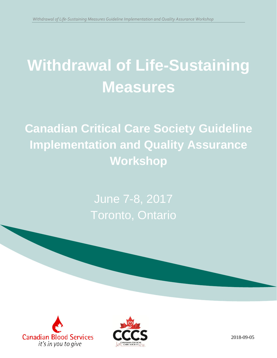# **Withdrawal of Life-Sustaining Measures**

**Canadian Critical Care Society Guideline Implementation and Quality Assurance Workshop**

> June 7-8, 2017 Toronto, Ontario





1 2018-09-05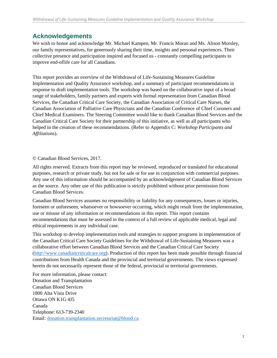### **Acknowledgements**

We wish to honor and acknowledge Mr. Michael Kampen, Mr. Francis Moran and Ms. Alison Morsley, our family representatives, for generously sharing their time, insights and personal experiences. Their collective presence and participation inspired and focused us - constantly compelling participants to improve end-oflife care for all Canadians.

This report provides an overview of the Withdrawal of Life-Sustaining Measures Guideline Implementation and Quality Assurance workshop, and a summary of participant recommendations in response to draft implementation tools. The workshop was based on the collaborative input of a broad range of stakeholders, family partners and experts with formal representation from Canadian Blood Services, the Canadian Critical Care Society, the Canadian Association of Critical Care Nurses, the Canadian Association of Palliative Care Physicians and the Canadian Conference of Chief Coroners and Chief Medical Examiners. The Steering Committee would like to thank Canadian Blood Services and the Canadian Critical Care Society for their partnership of this initiative, as well as all participants who helped in the creation of these recommendations. (Refer to Appendix C: *Workshop Participants and Affiliations*).

#### © Canadian Blood Services, 2017.

All rights reserved. Extracts from this report may be reviewed, reproduced or translated for educational purposes, research or private study, but not for sale or for use in conjunction with commercial purposes. Any use of this information should be accompanied by an acknowledgement of Canadian Blood Services as the source. Any other use of this publication is strictly prohibited without prior permission from Canadian Blood Services.

Canadian Blood Services assumes no responsibility or liability for any consequences, losses or injuries, foreseen or unforeseen, whatsoever or howsoever occurring, which might result from the implementation, use or misuse of any information or recommendations in this report. This report contains recommendations that must be assessed in the context of a full review of applicable medical, legal and ethical requirements in any individual case.

This workshop to develop implementation tools and strategies to support programs in implementation of the Canadian Critical Care Society Guidelines for the Withdrawal of Life-Sustaining Measures was a collaborative effort between Canadian Blood Services and the Canadian Critical Care Society [\(http://www.canadiancriticalcare.org\)](http://www.canadiancriticalcare.org/). Production of this report has been made possible through financial contributions from Health Canada and the provincial and territorial governments. The views expressed herein do not necessarily represent those of the federal, provincial or territorial governments.

For more information, please contact: Donation and Transplantation Canadian Blood Services 1800 Alta Vista Drive Ottawa ON K1G 4J5 Canada Telephone: 613-739-2340 Email: [donation.transplantation.secretariat@blood.ca](mailto:donation.transplantation.secretariat@blood.ca)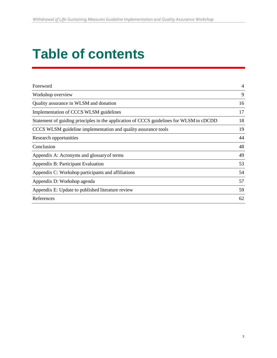# **Table of contents**

| Foreword                                                                                | $\overline{4}$ |
|-----------------------------------------------------------------------------------------|----------------|
| Workshop overview                                                                       | 9              |
| Quality assurance in WLSM and donation                                                  | 16             |
| Implementation of CCCS WLSM guidelines                                                  | 17             |
| Statement of guiding principles in the application of CCCS guidelines for WLSM in cDCDD | 18             |
| CCCS WLSM guideline implementation and quality assurance tools                          | 19             |
| Research opportunities                                                                  | 44             |
| Conclusion                                                                              | 48             |
| Appendix A: Acronyms and glossary of terms                                              | 49             |
| Appendix B: Participant Evaluation                                                      | 53             |
| Appendix C: Workshop participants and affiliations                                      | 54             |
| Appendix D: Workshop agenda                                                             | 57             |
| Appendix E: Update to published literature review                                       | 59             |
| References                                                                              | 62             |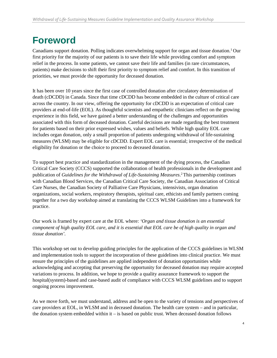# <span id="page-3-0"></span>**Foreword**

Canadians support donation. Polling indicates overwhelming support for organ and tissue donation.1 Our first priority for the majority of our patients is to save their life while providing comfort and symptom relief in the process. In some patients, we cannot save their life and families (in rare circumstances, patients) make decisions to shift their first priority to symptom relief and comfort. In this transition of priorities, we must provide the opportunity for deceased donation.

It has been over 10 years since the first case of controlled donation after circulatory determination of death (cDCDD) in Canada. Since that time cDCDD has become embedded in the culture of critical care across the country. In our view, offering the opportunity for cDCDD is an expectation of critical care providers at end-of-life (EOL). As thoughtful scientists and empathetic clinicians reflect on the growing experience in this field, we have gained a better understanding of the challenges and opportunities associated with this form of deceased donation. Careful decisions are made regarding the best treatment for patients based on their prior expressed wishes, values and beliefs. While high quality EOL care includes organ donation, only a small proportion of patients undergoing withdrawal of life-sustaining measures (WLSM) may be eligible for cDCDD. Expert EOL care is essential; irrespective of the medical eligibility for donation or the choice to proceed to deceased donation.

To support best practice and standardization in the management of the dying process, the Canadian Critical Care Society (CCCS) supported the collaboration of health professionals in the development and publication of *Guidelines for the Withdrawal of Life-Sustaining Measures*. 2 This partnership continues with Canadian Blood Services, the Canadian Critical Care Society, the Canadian Association of Critical Care Nurses, the Canadian Society of Palliative Care Physicians, intensivists, organ donation organizations, social workers, respiratory therapists, spiritual care, ethicists and family partners coming together for a two day workshop aimed at translating the CCCS WLSM Guidelines into a framework for practice.

Our work is framed by expert care at the EOL where: *'Organ and tissue donation is an essential component of high quality EOL care, and it is essential that EOL care be of high quality in organ and tissue donation'.*

This workshop set out to develop guiding principles for the application of the CCCS guidelines in WLSM and implementation tools to support the incorporation of these guidelines into clinical practice. We must ensure the principles of the guidelines are applied independent of donation opportunities while acknowledging and accepting that preserving the opportunity for deceased donation may require accepted variations to process. In addition, we hope to provide a quality assurance framework to support the hospital(system)-based and case-based audit of compliance with CCCS WLSM guidelines and to support ongoing process improvement.

As we move forth, we must understand, address and be open to the variety of tensions and perspectives of care providers at EOL, in WLSM and in deceased donation. The health care system – and in particular, the donation system embedded within  $it - is$  based on public trust. When deceased donation follows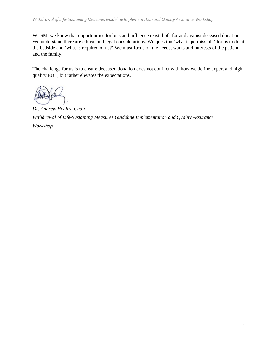WLSM, we know that opportunities for bias and influence exist, both for and against deceased donation. We understand there are ethical and legal considerations. We question 'what is permissible' for us to do at the bedside and 'what is required of us?' We must focus on the needs, wants and interests of the patient and the family.

The challenge for us is to ensure deceased donation does not conflict with how we define expert and high quality EOL, but rather elevates the expectations.

*Dr. Andrew Healey, Chair Withdrawal of Life-Sustaining Measures Guideline Implementation and Quality Assurance Workshop*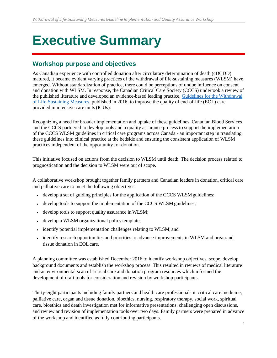# **Executive Summary**

### **Workshop purpose and objectives**

As Canadian experience with controlled donation after circulatory determination of death (cDCDD) matured, it became evident varying practices of the withdrawal of life-sustaining measures (WLSM) have emerged. Without standardization of practice, there could be perceptions of undue influence on consent and donation with WLSM. In response, the Canadian Critical Care Society (CCCS) undertook a review of the published literature and developed an evidence-based leading practice, [Guidelines for the Withdrawal](https://www.ncbi.nlm.nih.gov/pubmed/27059793) [of Life-Sustaining Measures,](https://www.ncbi.nlm.nih.gov/pubmed/27059793) published in 2016, to improve the quality of end-of-life (EOL) care provided in intensive care units(ICUs).

Recognizing a need for broader implementation and uptake of these guidelines, Canadian Blood Services and the CCCS partnered to develop tools and a quality assurance process to support the implementation of the CCCS WLSM guidelines in critical care programs across Canada - an important step in translating these guidelines into clinical practice at the bedside and ensuring the consistent application of WLSM practices independent of the opportunity for donation.

This initiative focused on actions from the decision to WLSM until death. The decision process related to prognostication and the decision to WLSM were out of scope.

A collaborative workshop brought together family partners and Canadian leaders in donation, critical care and palliative care to meet the following objectives:

- develop a set of guiding principles for the application of the CCCS WLSM guidelines;
- develop tools to support the implementation of the CCCS WLSM guidelines;
- develop tools to support quality assurance inWLSM;
- develop a WLSM organizational policy template;
- identify potential implementation challenges relating to WLSM; and
- identify research opportunities and priorities to advance improvements in WLSM and organand tissue donation in EOLcare.

A planning committee was established December 2016 to identify workshop objectives, scope, develop background documents and establish the workshop process. This resulted in reviews of medical literature and an environmental scan of critical care and donation program resources which informed the development of draft tools for consideration and revision by workshop participants.

Thirty-eight participants including family partners and health care professionals in critical care medicine, palliative care, organ and tissue donation, bioethics, nursing, respiratory therapy, social work, spiritual care, bioethics and death investigation met for informative presentations, challenging open discussions, and review and revision of implementation tools over two days. Family partners were prepared in advance of the workshop and identified as fully contributing participants.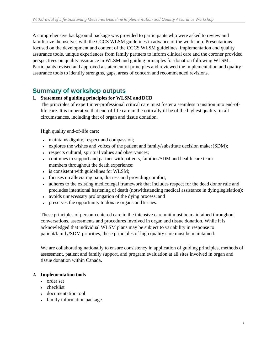A comprehensive background package was provided to participants who were asked to review and familiarize themselves with the CCCS WLSM guidelines in advance of the workshop. Presentations focused on the development and content of the CCCS WLSM guidelines, implementation and quality assurance tools, unique experiences from family partners to inform clinical care and the coroner provided perspectives on quality assurance in WLSM and guiding principles for donation following WLSM. Participants revised and approved a statement of principles and reviewed the implementation and quality assurance tools to identify strengths, gaps, areas of concern and recommended revisions.

### **Summary of workshop outputs**

#### **1. Statement of guiding principles for WLSM and DCD**

The principles of expert inter-professional critical care must foster a seamless transition into end-oflife care. It is imperative that end-of-life care in the critically ill be of the highest quality, in all circumstances, including that of organ and tissue donation.

High quality end-of-life care:

- maintains dignity, respect and compassion;
- explores the wishes and voices of the patient and family/substitute decision maker(SDM);
- respects cultural, spiritual values and observances;
- continues to support and partner with patients, families/SDM and health care team members throughout the death experience;
- is consistent with guidelines for WLSM;
- focuses on alleviating pain, distress and providing comfort;
- adheres to the existing medicolegal framework that includes respect for the dead donor rule and precludes intentional hastening of death (notwithstanding medical assistance in dyinglegislation);
- avoids unnecessary prolongation of the dying process; and
- preserves the opportunity to donate organs and tissues.

These principles of person-centered care in the intensive care unit must be maintained throughout conversations, assessments and procedures involved in organ and tissue donation. While it is acknowledged that individual WLSM plans may be subject to variability in response to patient/family/SDM priorities, these principles of high quality care must be maintained.

We are collaborating nationally to ensure consistency in application of guiding principles, methods of assessment, patient and family support, and program evaluation at all sites involved in organ and tissue donation within Canada.

#### **2. Implementation tools**

- order set
- checklist
- documentation tool
- family information package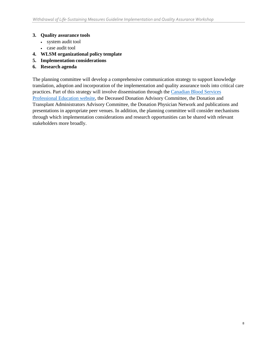#### **3. Quality assurance tools**

- system audit tool
- case audit tool
- **4. WLSM organizational policy template**
- **5. Implementation considerations**
- **6. Research agenda**

The planning committee will develop a comprehensive communication strategy to support knowledge translation, adoption and incorporation of the implementation and quality assurance tools into critical care practices. Part of this strategy will involve dissemination through the [Canadian Blood Services](https://profedu.blood.ca/en) [Professional Education website, t](https://profedu.blood.ca/en)he Deceased Donation Advisory Committee, the Donation and Transplant Administrators Advisory Committee, the Donation Physician Network and publications and presentations in appropriate peer venues. In addition, the planning committee will consider mechanisms through which implementation considerations and research opportunities can be shared with relevant stakeholders more broadly.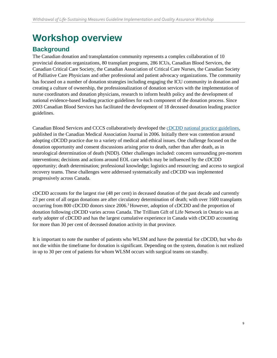# <span id="page-8-0"></span>**Workshop overview**

# **Background**

The Canadian donation and transplantation community represents a complex collaboration of 10 provincial donation organizations, 80 transplant programs, 286 ICUs, Canadian Blood Services, the Canadian Critical Care Society, the Canadian Association of Critical Care Nurses, the Canadian Society of Palliative Care Physicians and other professional and patient advocacy organizations. The community has focused on a number of donation strategies including engaging the ICU community in donation and creating a culture of ownership, the professionalization of donation services with the implementation of nurse coordinators and donation physicians, research to inform health policy and the development of national evidence-based leading practice guidelines for each component of the donation process. Since 2003 Canadian Blood Services has facilitated the development of 18 deceased donation leading practice guidelines.

Canadian Blood Services and CCCS collaboratively developed the [cDCDD national practice guidelines,](https://professionaleducation.blood.ca/en/organs-tissues/deceased-donation/leading-practices-and-reports/donation-after-cardiocirculatory) published in the Canadian Medical Association Journal in 2006. Initially there was contention around adopting cDCDD practice due to a variety of medical and ethical issues. One challenge focused on the donation opportunity and consent discussions arising prior to death, rather than after death, as in neurological determination of death (NDD). Other challenges included: concern surrounding pre-mortem interventions; decisions and actions around EOL care which may be influenced by the cDCDD opportunity; death determination; professional knowledge; logistics and resourcing; and access to surgical recovery teams. These challenges were addressed systematically and cDCDD was implemented progressively across Canada.

cDCDD accounts for the largest rise (48 per cent) in deceased donation of the past decade and currently 23 per cent of all organ donations are after circulatory determination of death; with over 1600 transplants occurring from 800 cDCDD donors since 2006.<sup>3</sup> However, adoption of cDCDD and the proportion of donation following cDCDD varies across Canada. The Trillium Gift of Life Network in Ontario was an early adopter of cDCDD and has the largest cumulative experience in Canada with cDCDD accounting for more than 30 per cent of deceased donation activity in that province.

It is important to note the number of patients who WLSM and have the potential for cDCDD, but who do not die within the timeframe for donation is significant. Depending on the system, donation is not realized in up to 30 per cent of patients for whom WLSM occurs with surgical teams on standby.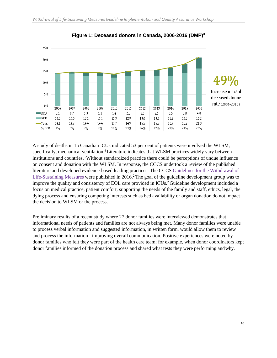

**Figure 1: Deceased donors in Canada, 2006-2016 (DMP)3**

A study of deaths in 15 Canadian ICUs indicated 53 per cent of patients were involved the WLSM; specifically, mechanical ventilation.<sup>4</sup> Literature indicates that WLSM practices widely vary between institutions and countries.<sup>5</sup> Without standardized practice there could be perceptions of undue influence on consent and donation with the WLSM. In response, the CCCS undertook a review of the published literature and developed evidence-based leading practices. The CCCS [Guidelines for the Withdrawal of](http://www.ncbi.nlm.nih.gov/pubmed/27059793) [Life-Sustaining Measures](http://www.ncbi.nlm.nih.gov/pubmed/27059793) were published in 2016.<sup>2</sup> The goal of the guideline development group was to improve the quality and consistency of EOL care provided in ICUs.2 Guideline development included a focus on medical practice, patient comfort, supporting the needs of the family and staff, ethics, legal, the dying process and ensuring competing interests such as bed availability or organ donation do not impact the decision to WLSM or the process.

Preliminary results of a recent study where 27 donor families were interviewed demonstrates that informational needs of patients and families are not always being met. Many donor families were unable to process verbal information and suggested information, in written form, would allow them to review and process the information - improving overall communication. Positive experiences were noted by donor families who felt they were part of the health care team; for example, when donor coordinators kept donor families informed of the donation process and shared what tests they were performing andwhy.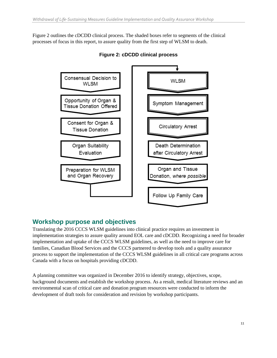Figure 2 outlines the cDCDD clinical process. The shaded boxes refer to segments of the clinical processes of focus in this report, to assure quality from the first step of WLSM to death.



**Figure 2: cDCDD clinical process**

# **Workshop purpose and objectives**

Translating the 2016 CCCS WLSM guidelines into clinical practice requires an investment in implementation strategies to assure quality around EOL care and cDCDD. Recognizing a need for broader implementation and uptake of the CCCS WLSM guidelines, as well as the need to improve care for families, Canadian Blood Services and the CCCS partnered to develop tools and a quality assurance process to support the implementation of the CCCS WLSM guidelines in all critical care programs across Canada with a focus on hospitals providing cDCDD.

A planning committee was organized in December 2016 to identify strategy, objectives, scope, background documents and establish the workshop process. As a result, medical literature reviews and an environmental scan of critical care and donation program resources were conducted to inform the development of draft tools for consideration and revision by workshop participants.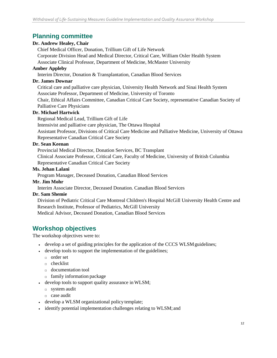### **Planning committee**

#### **Dr. Andrew Healey, Chair**

Chief Medical Officer, Donation, Trillium Gift of Life Network

Corporate Division Head and Medical Director, Critical Care, William Osler Health System

Associate Clinical Professor, Department of Medicine, McMaster University

#### **Amber Appleby**

Interim Director, Donation & Transplantation, Canadian Blood Services

#### **Dr. James Downar**

Critical care and palliative care physician, University Health Network and Sinai Health System Associate Professor, Department of Medicine, University of Toronto

Chair, Ethical Affairs Committee, Canadian Critical Care Society, representative Canadian Society of Palliative Care Physicians

#### **Dr. Michael Hartwick**

Regional Medical Lead, Trillium Gift of Life

Intensivist and palliative care physician, The Ottawa Hospital

Assistant Professor, Divisions of Critical Care Medicine and Palliative Medicine, University of Ottawa Representative Canadian Critical Care Society

#### **Dr. Sean Keenan**

Provincial Medical Director, Donation Services, BC Transplant

Clinical Associate Professor, Critical Care, Faculty of Medicine, University of British Columbia Representative Canadian Critical Care Society

#### **Ms. Jehan Lalani**

Program Manager, Deceased Donation, Canadian Blood Services

#### **Mr. Jim Mohr**

Interim Associate Director, Deceased Donation. Canadian Blood Services

#### **Dr. Sam Shemie**

Division of Pediatric Critical Care Montreal Children's Hospital McGill University Health Centre and Research Institute, Professor of Pediatrics, McGill University Medical Advisor, Deceased Donation, Canadian Blood Services

### **Workshop objectives**

The workshop objectives were to:

- develop a set of guiding principles for the application of the CCCS WLSM guidelines;
- develop tools to support the implementation of the guidelines;
	- □ order set
	- □ checklist
	- □ documentation tool
	- $\Box$  family information package
- develop tools to support quality assurance inWLSM;
	- □ system audit
	- □ case audit
- develop a WLSM organizational policy template;
- identify potential implementation challenges relating to WLSM; and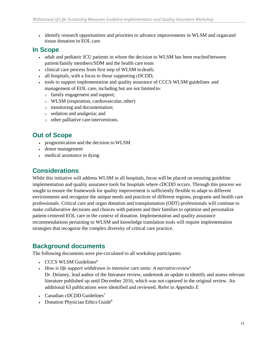• identify research opportunities and priorities to advance improvements in WLSM and organ and tissue donation in EOL care.

### **In Scope**

- adult and pediatric ICU patients in whom the decision to WLSM has been reached between patient/family members/SDM and the health care team
- clinical care process from first step of WLSM to death;
- all hospitals, with a focus to those supporting cDCDD;
- tools to support implementation and quality assurance of CCCS WLSM guidelines and management of EOL care, including but are not limited to:
	- $\Box$  family engagement and support;
	- □ WLSM (respiration, cardiovascular, other)
	- $\Box$  monitoring and documentation;
	- □ sedation and analgesia; and
	- $\Box$  other palliative care interventions.

# **Out of Scope**

- prognostication and the decision to WLSM
- donor management
- medical assistance in dying

# **Considerations**

While this initiative will address WLSM in all hospitals, focus will be placed on ensuring guideline implementation and quality assurance tools for hospitals where cDCDD occurs. Through this process we sought to ensure the framework for quality improvement is sufficiently flexible to adapt to different environments and recognize the unique needs and practices of different regions, programs and health care professionals. Critical care and organ donation and transplantation (ODT) professionals will continue to make collaborative decisions and choices with patients and their families to optimize and personalize patient-centered EOL care in the context of donation. Implementation and quality assurance recommendations pertaining to WLSM and knowledge translation tools will require implementation strategies that recognize the complex diversity of critical care practice.

### **Background documents**

The following documents were pre-circulated to all workshop participants:

- CCCS WLSM Guidelines<sup>6</sup>
- *How is life support withdrawn in intensive care units: A narrativereview*<sup>5</sup> Dr. Delaney, lead author of the literature review, undertook an update to identify and assess relevant literature published up until December 2016, which was not captured in the original review. An additional 63 publications were identified and reviewed. Refer to *Appendix E*
- Canadian cDCDD Guidelines<sup>7</sup>
- Donation Physician Ethics Guide<sup>8</sup>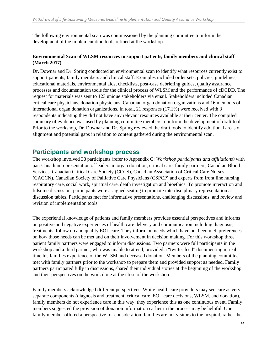The following environmental scan was commissioned by the planning committee to inform the development of the implementation tools refined at the workshop.

#### **Environmental Scan of WLSM resources to support patients, family members and clinical staff (March 2017)**

Dr. Downar and Dr. Spring conducted an environmental scan to identify what resources currently exist to support patients, family members and clinical staff. Examples included order sets, policies, guidelines, educational materials, environmental aids, checklists, post-case debriefing guides, quality assurance processes and documentation tools for the clinical process of WLSM and the performance of cDCDD. The request for materials was sent to 123 unique stakeholders via email. Stakeholders included Canadian critical care physicians, donation physicians, Canadian organ donation organizations and 16 members of international organ donation organizations. In total, 21 responses (17.1%) were received with 3 respondents indicating they did not have any relevant resources available at their center. The compiled summary of evidence was used by planning committee members to inform the development of draft tools. Prior to the workshop, Dr. Downar and Dr. Spring reviewed the draft tools to identify additional areas of alignment and potential gaps in relation to content gathered during the environmental scan.

### **Participants and workshop process**

The workshop involved 38 participants (refer to Appendix C: *Workshop participants and affiliations)* with pan-Canadian representation of leaders in organ donation, critical care, family partners, Canadian Blood Services, Canadian Critical Care Society (CCCS), Canadian Association of Critical Care Nurses (CACCN), Canadian Society of Palliative Care Physicians (CSPCP) and experts from front line nursing, respiratory care, social work, spiritual care, death investigation and bioethics. To promote interaction and fulsome discussion, participants were assigned seating to promote interdisciplinary representation at discussion tables. Participants met for informative presentations, challenging discussions, and review and revision of implementation tools.

The experiential knowledge of patients and family members provides essential perspectives and informs on positive and negative experiences of health care delivery and communication including diagnosis, treatments, follow up and quality EOL care. They inform on needs which have not been met, preferences on how those needs can be met and on their involvement in decision making. For this workshop three patient family partners were engaged to inform discussions. Two partners were full participants in the workshop and a third partner, who was unable to attend, provided a "twitter feed" documenting in real time his families experience of the WLSM and deceased donation. Members of the planning committee met with family partners prior to the workshop to prepare them and provided support as needed. Family partners participated fully in discussions, shared their individual stories at the beginning of the workshop and their perspectives on the work done at the close of the workshop.

Family members acknowledged different perspectives. While health care providers may see care as very separate components (diagnosis and treatment, critical care, EOL care decisions, WLSM, and donation), family members do not experience care in this way; they experience this as one continuous event. Family members suggested the provision of donation information earlier in the process may be helpful. One family member offered a perspective for consideration: families are not visitors to the hospital, rather the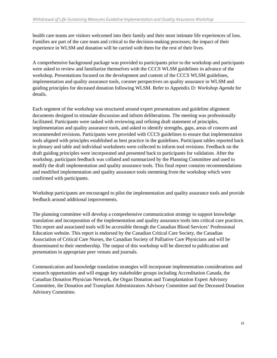health care teams are visitors welcomed into their family and their most intimate life experiences of loss. Families are part of the care team and critical to the decision-making processes; the impact of their experience in WLSM and donation will be carried with them for the rest of their lives.

A comprehensive background package was provided to participants prior to the workshop and participants were asked to review and familiarize themselves with the CCCS WLSM guidelines in advance of the workshop. Presentations focused on the development and content of the CCCS WLSM guidelines, implementation and quality assurance tools, coroner perspectives on quality assurance in WLSM and guiding principles for deceased donation following WLSM. Refer to Appendix D*: Workshop Agenda* for details.

Each segment of the workshop was structured around expert presentations and guideline alignment documents designed to stimulate discussion and inform deliberations. The meeting was professionally facilitated. Participants were tasked with reviewing and refining draft statement of principles, implementation and quality assurance tools, and asked to identify strengths, gaps, areas of concern and recommended revisions. Participants were provided with CCCS guidelines to ensure that implementation tools aligned with principles established as best practice in the guidelines. Participant tables reported back in plenary and table and individual worksheets were collected to inform tool revisions. Feedback on the draft guiding principles were incorporated and presented back to participants for validation. After the workshop, participant feedback was collated and summarized by the Planning Committee and used to modify the draft implementation and quality assurance tools. This final report contains recommendations and modified implementation and quality assurance tools stemming from the workshop which were confirmed with participants.

Workshop participants are encouraged to pilot the implementation and quality assurance tools and provide feedback around additional improvements.

The planning committee will develop a comprehensive communication strategy to support knowledge translation and incorporation of the implementation and quality assurance tools into critical care practices. This report and associated tools will be accessible through the Canadian Blood Services' Professional Education website. This report is endorsed by the Canadian Critical Care Society, the Canadian Association of Critical Care Nurses, the Canadian Society of Palliative Care Physicians and will be disseminated to their membership. The output of this workshop will be directed to publication and presentation in appropriate peer venues and journals.

Communication and knowledge translation strategies will incorporate implementation considerations and research opportunities and will engage key stakeholder groups including Accreditation Canada, the Canadian Donation Physician Network, the Organ Donation and Transplantation Expert Advisory Committee, the Donation and Transplant Administrators Advisory Committee and the Deceased Donation Advisory Committee.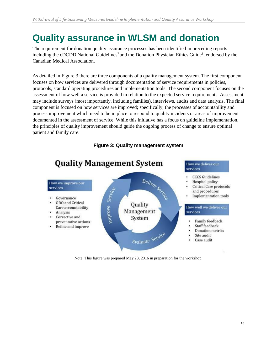# <span id="page-15-0"></span>**Quality assurance in WLSM and donation**

The requirement for donation quality assurance processes has been identified in preceding reports including the cDCDD National Guidelines<sup>7</sup> and the Donation Physician Ethics Guide<sup>8</sup>, endorsed by the Canadian Medical Association.

As detailed in Figure 3 there are three components of a quality management system. The first component focuses on how services are delivered through documentation of service requirements in policies, protocols, standard operating procedures and implementation tools. The second component focuses on the assessment of how well a service is provided in relation to the expected service requirements. Assessment may include surveys (most importantly, including families), interviews, audits and data analysis. The final component is focused on how services are improved; specifically, the processes of accountability and process improvement which need to be in place to respond to quality incidents or areas of improvement documented in the assessment of service. While this initiative has a focus on guideline implementation, the principles of quality improvement should guide the ongoing process of change to ensure optimal patient and family care.



**Figure 3: Quality management system**

Note: This figure was prepared May 23, 2016 in preparation for the workshop.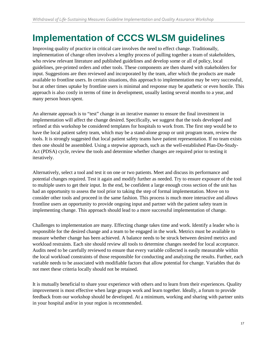# <span id="page-16-0"></span>**Implementation of CCCS WLSM guidelines**

Improving quality of practice in critical care involves the need to effect change. Traditionally, implementation of change often involves a lengthy process of pulling together a team of stakeholders, who review relevant literature and published guidelines and develop some or all of policy, local guidelines, pre-printed orders and other tools. These components are then shared with stakeholders for input. Suggestions are then reviewed and incorporated by the team, after which the products are made available to frontline users. In certain situations, this approach to implementation may be very successful, but at other times uptake by frontline users is minimal and response may be apathetic or even hostile. This approach is also costly in terms of time in development, usually lasting several months to a year, and many person hours spent.

An alternate approach is to "test" change in an iterative manner to ensure the final investment in implementation will affect the change desired. Specifically, we suggest that the tools developed and refined at this workshop be considered templates for hospitals to work from. The first step would be to have the local patient safety team, which may be a stand-alone group or unit program team, review the tools. It is strongly suggested that local patient safety teams have patient representation. If no team exists then one should be assembled. Using a stepwise approach, such as the well-established Plan-Do-Study-Act (PDSA) cycle, review the tools and determine whether changes are required prior to testing it iteratively.

Alternatively, select a tool and test it on one or two patients. Meet and discuss its performance and potential changes required. Test it again and modify further as needed. Try to ensure exposure of the tool to multiple users to get their input. In the end, be confident a large enough cross section of the unit has had an opportunity to assess the tool prior to taking the step of formal implementation. Move on to consider other tools and proceed in the same fashion. This process is much more interactive and allows frontline users an opportunity to provide ongoing input and partner with the patient safety team in implementing change. This approach should lead to a more successful implementation of change.

Challenges to implementation are many. Effecting change takes time and work. Identify a leader who is responsible for the desired change and a team to be engaged in the work. Metrics must be available to measure whether change has been achieved. A balance needs to be struck between desired metrics and workload restraints. Each site should review all tools to determine changes needed for local acceptance. Audits need to be carefully reviewed to ensure that every variable collected is easily measurable within the local workload constraints of those responsible for conducting and analyzing the results. Further, each variable needs to be associated with modifiable factors that allow potential for change. Variables that do not meet these criteria locally should not be retained.

It is mutually beneficial to share your experience with others and to learn from their experiences. Quality improvement is most effective when large groups work and learn together. Ideally, a forum to provide feedback from our workshop should be developed. At a minimum, working and sharing with partner units in your hospital and/or in your region is recommended.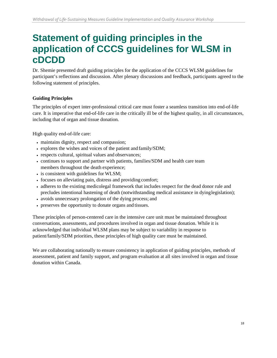# <span id="page-17-0"></span>**Statement of guiding principles in the application of CCCS guidelines for WLSM in cDCDD**

Dr. Shemie presented draft guiding principles for the application of the CCCS WLSM guidelines for participant's reflections and discussion. After plenary discussions and feedback, participants agreed to the following statement of principles.

#### **Guiding Principles**

The principles of expert inter-professional critical care must foster a seamless transition into end-of-life care. It is imperative that end-of-life care in the critically ill be of the highest quality, in all circumstances, including that of organ and tissue donation.

High quality end-of-life care:

- maintains dignity, respect and compassion;
- explores the wishes and voices of the patient and family/SDM;
- respects cultural, spiritual values and observances;
- continues to support and partner with patients, families/SDM and health care team members throughout the death experience;
- is consistent with guidelines for WLSM;
- focuses on alleviating pain, distress and providing comfort;
- adheres to the existing medicolegal framework that includes respect for the dead donor rule and precludes intentional hastening of death (notwithstanding medical assistance in dyinglegislation);
- avoids unnecessary prolongation of the dying process; and
- preserves the opportunity to donate organs and tissues.

These principles of person-centered care in the intensive care unit must be maintained throughout conversations, assessments, and procedures involved in organ and tissue donation. While it is acknowledged that individual WLSM plans may be subject to variability in response to patient/family/SDM priorities, these principles of high quality care must be maintained.

We are collaborating nationally to ensure consistency in application of guiding principles, methods of assessment, patient and family support, and program evaluation at all sites involved in organ and tissue donation within Canada.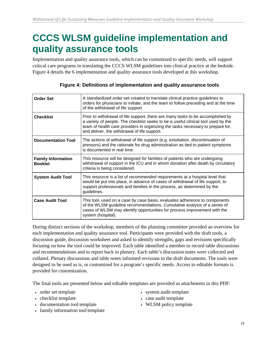# <span id="page-18-0"></span>**CCCS WLSM guideline implementation and quality assurance tools**

Implementation and quality assurance tools, which can be customized to specific needs, will support critical care programs in translating the CCCS WLSM guidelines into clinical practice at the bedside. Figure 4 details the 6 implementation and quality assurance tools developed at this workshop.

| <b>Order Set</b>                            | A standardized order set created to translate clinical practice guidelines to<br>orders for physicians to initiate, and the team to follow preceding and at the time<br>of the withdrawal of life support.                                                                                              |
|---------------------------------------------|---------------------------------------------------------------------------------------------------------------------------------------------------------------------------------------------------------------------------------------------------------------------------------------------------------|
| <b>Checklist</b>                            | Prior to withdrawal of life support, there are many tasks to be accomplished by<br>a variety of people. The checklist seeks to be a useful clinical tool used by the<br>team of health care providers in organizing the tasks necessary to prepare for,<br>and deliver, the withdrawal of life support. |
| <b>Documentation Tool</b>                   | The actions of withdrawal of life support (e.g. extubation, discontinuation of<br>pressors) and the rationale for drug administration as tied to patient symptoms<br>is documented in real time.                                                                                                        |
| <b>Family Information</b><br><b>Booklet</b> | This resource will be designed for families of patients who are undergoing<br>withdrawal of support in the ICU and in whom donation after death by circulatory<br>criteria is being considered.                                                                                                         |
| <b>System Audit Tool</b>                    | This resource is a list of recommended requirements at a hospital level that<br>would be put into place, in advance of cases of withdrawal of life support, to<br>support professionals and families in the process, as determined by the<br>guidelines.                                                |
| <b>Case Audit Tool</b>                      | This tool, used on a case by case basis, evaluates adherence to components<br>of the WLSM guideline recommendations. Cumulative analysis of a series of<br>cases of WLSM may identify opportunities for process improvement with the<br>system (hospital).                                              |

|  | Figure 4: Definitions of implementation and quality assurance tools |
|--|---------------------------------------------------------------------|
|  |                                                                     |

During distinct sections of the workshop, members of the planning committee provided an overview for each implementation and quality assurance tool. Participants were provided with the draft tools, a discussion guide, discussion worksheet and asked to identify strengths, gaps and revisions specifically focusing on how the tool could be improved. Each table identified a member to record table discussions and recommendations and to report back to plenary. Each table's discussion notes were collected and collated. Plenary discussions and table notes informed revisions to the draft documents. The tools were designed to be used as is, or customized for a program's specific needs. Access to editable formats is provided for customization.

The final tools are presented below and editable templates are provided as attachments in this PDF:

- order set template
- checklist template
- documentation tool template
- family information tool template
- system audit template
- case audit template
- WLSM policy template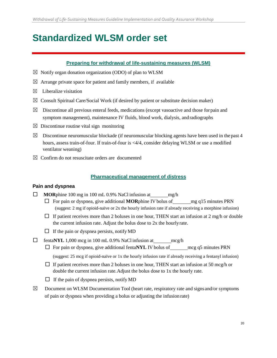# **Standardized WLSM order set**

#### **Preparing for withdrawal of life-sustaining measures (WLSM)**

- $\boxtimes$  Notify organ donation organization (ODO) of plan to WLSM
- $\boxtimes$  Arrange private space for patient and family members, if available
- $\boxtimes$  Liberalize visitation
- $\boxtimes$  Consult Spiritual Care/Social Work (if desired by patient or substitute decision maker)
- $\boxtimes$  Discontinue all previous enteral feeds, medications (except vasoactive and those for pain and symptom management), maintenance IV fluids, blood work, dialysis, andradiographs
- $\boxtimes$  Discontinue routine vital sign monitoring
- $\boxtimes$  Discontinue neuromuscular blockade (if neuromuscular blocking agents have been used in the past 4 hours, assess train-of-four. If train-of-four is <4/4, consider delaying WLSM or use a modified ventilator weaning)
- $\boxtimes$  Confirm do not resuscitate orders are documented

#### **Pharmaceutical management of distress**

#### **Pain and dyspnea**

- $\Box$  **MOR**phine 100 mg in 100 mL 0.9% NaCl infusion at mg/h
	- $\Box$  For pain or dyspnea, give additional **MOR**phine IV bolus of mg q15 minutes PRN (suggest: 2 mg if opioid-naïve or 2x the hourly infusion rate if already receiving a morphine infusion)
	- $\Box$  If patient receives more than 2 boluses in one hour, THEN start an infusion at 2 mg/h or double the current infusion rate. Adjust the bolus dose to 2x the hourlyrate.
	- $\Box$  If the pain or dyspnea persists, notify MD
- □ fenta**NYL** 1,000 mcg in 100 mL 0.9% NaCl infusion at mcg/h
	- $\Box$  For pain or dyspnea, give additional fenta**NYL** IV bolus of <u>manimizes</u>  $PRN$ (suggest: 25 mcg if opioid-naïve or 1x the hourly infusion rate if already receiving a fentanyl infusion)
	- $\square$  If patient receives more than 2 boluses in one hour, THEN start an infusion at 50 mcg/h or double the current infusion rate.Adjust the bolus dose to 1x the hourly rate.
	- $\Box$  If the pain of dyspnea persists, notify MD
- $\boxtimes$  Document on WLSM Documentation Tool (heart rate, respiratory rate and signs and/or symptoms of pain or dyspnea when providing a bolus or adjusting the infusion rate)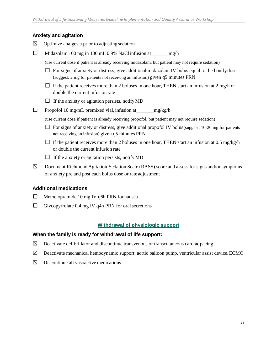#### **Anxiety and agitation**

- $\boxtimes$  Optimize analgesia prior to adjusting sedation
- $\Box$  Midazolam 100 mg in 100 mL 0.9% NaCl infusion at mg/h
	- (use current dose if patient is already receiving midazolam, but patient may not require sedation)
	- $\Box$  For signs of anxiety or distress, give additional midazolam IV bolus equal to the hourly dose (suggest: 2 mg for patients not receiving an infusion) given q5 minutes PRN
	- $\Box$  If the patient receives more than 2 boluses in one hour, THEN start an infusion at 2 mg/h or double the current infusion rate
	- $\Box$  If the anxiety or agitation persists, notify MD
- $\Box$  Propofol 10 mg/mL premixed vial, infusion at mg/kg/h
	- (use current dose if patient is already receiving propofol, but patient may not require sedation)
	- $\Box$  For signs of anxiety or distress, give additional propofol IV bolus (suggest: 10-20 mg for patients not receiving an infusion) given q5 minutes PRN
	- $\Box$  If the patient receives more than 2 boluses in one hour, THEN start an infusion at 0.5 mg/kg/h or double the current infusion rate
	- $\Box$  If the anxiety or agitation persists, notify MD
- $\boxtimes$  Document Richmond Agitation-Sedation Scale (RASS) score and assess for signs and/or symptoms of anxiety pre and post each bolus dose or rate adjustment

#### **Additional medications**

- $\Box$  Metoclopramide 10 mg IV q6h PRN for nausea
- $\Box$  Glycopyrrolate 0.4 mg IV q4h PRN for oral secretions

#### **Withdrawal of physiologic support**

#### **When the family is ready for withdrawal of life support:**

- $\boxtimes$  Deactivate defibrillator and discontinue transvenous or transcutaneous cardiac pacing
- $\boxtimes$  Deactivate mechanical hemodynamic support, aortic balloon pump, ventricular assist device, ECMO
- $\boxtimes$  Discontinue all vasoactive medications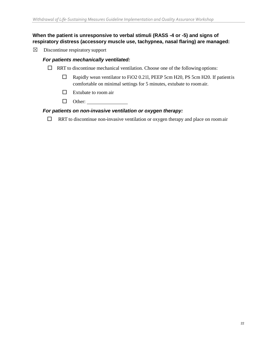#### **When the patient is unresponsive to verbal stimuli (RASS -4 or -5) and signs of respiratory distress (accessory muscle use, tachypnea, nasal flaring) are managed:**

☒ Discontinue respiratory support

#### *For patients mechanically ventilated:*

- $\Box$  RRT to discontinue mechanical ventilation. Choose one of the following options:
	- $\Box$  Rapidly wean ventilator to FiO2 0.211, PEEP 5cm H20, PS 5cm H20. If patient is comfortable on minimal settings for 5 minutes, extubate to roomair.
	- $\Box$  Extubate to room air
	- □ Other:

#### *For patients on non-invasive ventilation or oxygen therapy:*

 $\Box$  RRT to discontinue non-invasive ventilation or oxygen therapy and place on room air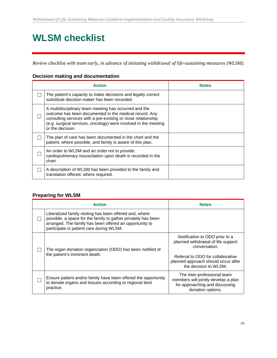# **WLSM checklist**

*Review checklist with team early, in advance of initiating withdrawal of life-sustaining measures (WLSM).*

#### **Decision making and documentation**

| <b>Action</b>                                                                                                                                                                                                                                                           | <b>Notes</b> |
|-------------------------------------------------------------------------------------------------------------------------------------------------------------------------------------------------------------------------------------------------------------------------|--------------|
| The patient's capacity to make decisions and legally correct<br>substitute decision maker has been recorded.                                                                                                                                                            |              |
| A multidisciplinary team meeting has occurred and the<br>outcome has been documented in the medical record. Any<br>consulting services with a pre-existing or close relationship<br>(e.g. surgical services, oncology) were involved in the meeting<br>or the decision. |              |
| The plan of care has been documented in the chart and the<br>patient, where possible, and family is aware of this plan.                                                                                                                                                 |              |
| An order to WLSM and an order not to provide<br>cardiopulmonary resuscitation upon death is recorded in the<br>chart.                                                                                                                                                   |              |
| A description of WLSM has been provided to the family and<br>translation offered, where required.                                                                                                                                                                       |              |

#### **Preparing for WLSM**

| <b>Action</b>                                                                                                                                                                                                                   | <b>Notes</b>                                                                                                                                                                               |
|---------------------------------------------------------------------------------------------------------------------------------------------------------------------------------------------------------------------------------|--------------------------------------------------------------------------------------------------------------------------------------------------------------------------------------------|
| Liberalized family visiting has been offered and, where<br>possible, a space for the family to gather privately has been<br>arranged. The family has been offered an opportunity to<br>participate in patient care during WLSM. |                                                                                                                                                                                            |
| The organ donation organization (ODO) has been notified of<br>the patient's imminent death.                                                                                                                                     | Notification to ODO prior to a<br>planned withdrawal of life support<br>conversation.<br>Referral to ODO for collaborative<br>planned approach should occur after<br>the decision to WLSM. |
| Ensure patient and/or family have been offered the opportunity<br>to donate organs and tissues according to regional best<br>practice.                                                                                          | The inter-professional team<br>members will jointly develop a plan<br>for approaching and discussing<br>donation options.                                                                  |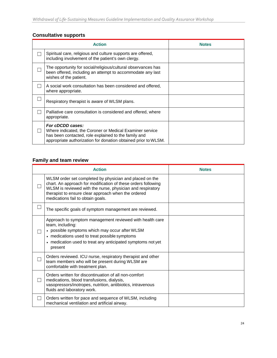#### **Consultative supports**

| <b>Action</b>                                                                                                                                                                                          | <b>Notes</b> |
|--------------------------------------------------------------------------------------------------------------------------------------------------------------------------------------------------------|--------------|
| Spiritual care, religious and culture supports are offered,<br>including involvement of the patient's own clergy.                                                                                      |              |
| The opportunity for social/religious/cultural observances has<br>been offered, including an attempt to accommodate any last<br>wishes of the patient.                                                  |              |
| A social work consultation has been considered and offered,<br>where appropriate.                                                                                                                      |              |
| Respiratory therapist is aware of WLSM plans.                                                                                                                                                          |              |
| Palliative care consultation is considered and offered, where<br>appropriate.                                                                                                                          |              |
| For cDCDD cases:<br>Where indicated, the Coroner or Medical Examiner service<br>has been contacted, role explained to the family and<br>appropriate authorization for donation obtained prior to WLSM. |              |

### **Family and team review**

| <b>Action</b>                                                                                                                                                                                                                                                                      | <b>Notes</b> |
|------------------------------------------------------------------------------------------------------------------------------------------------------------------------------------------------------------------------------------------------------------------------------------|--------------|
| WLSM order set completed by physician and placed on the<br>chart. An approach for modification of these orders following<br>WLSM is reviewed with the nurse, physician and respiratory<br>therapist to ensure clear approach when the ordered<br>medications fail to obtain goals. |              |
| The specific goals of symptom management are reviewed.                                                                                                                                                                                                                             |              |
| Approach to symptom management reviewed with health care<br>team, including:<br>• possible symptoms which may occur after WLSM<br>• medications used to treat possible symptoms<br>• medication used to treat any anticipated symptoms not yet<br>present                          |              |
| Orders reviewed. ICU nurse, respiratory therapist and other<br>team members who will be present during WLSM are<br>comfortable with treatment plan.                                                                                                                                |              |
| Orders written for discontinuation of all non-comfort<br>medications, blood transfusions, dialysis,<br>vasopressors/inotropes, nutrition, antibiotics, intravenous<br>fluids and laboratory work.                                                                                  |              |
| Orders written for pace and sequence of WLSM, including<br>mechanical ventilation and artificial airway.                                                                                                                                                                           |              |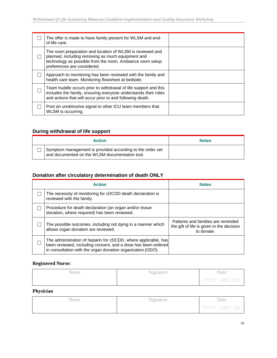| The offer is made to have family present for WLSM and end-<br>of-life care.                                                                                                                                |  |
|------------------------------------------------------------------------------------------------------------------------------------------------------------------------------------------------------------|--|
| The room preparation and location of WLSM is reviewed and<br>planned, including removing as much equipment and<br>technology as possible from the room. Ambiance room setup<br>preferences are considered. |  |
| Approach to monitoring has been reviewed with the family and<br>health care team. Monitoring flowsheet at bedside.                                                                                         |  |
| Team huddle occurs prior to withdrawal of life support and this<br>includes the family, ensuring everyone understands their roles<br>and actions that will occur prior to and following death.             |  |
| Post an unobtrusive signal to other ICU team members that<br>WLSM is occurring.                                                                                                                            |  |

### **During withdrawal of life support**

| <b>Action</b>                                                                                               | <b>Notes</b> |
|-------------------------------------------------------------------------------------------------------------|--------------|
| Symptom management is provided according to the order set<br>and documented on the WLSM documentation tool. |              |

### **Donation after circulatory determination of death ONLY**

| <b>Action</b>                                                                                                                                                                                  | <b>Notes</b>                                                                                  |
|------------------------------------------------------------------------------------------------------------------------------------------------------------------------------------------------|-----------------------------------------------------------------------------------------------|
| The necessity of monitoring for cDCDD death declaration is<br>reviewed with the family.                                                                                                        |                                                                                               |
| Procedure for death declaration (an organ and/or tissue<br>donation, where required) has been reviewed.                                                                                        |                                                                                               |
| The possible outcomes, including not dying in a manner which<br>allows organ donation are reviewed.                                                                                            | Patients and families are reminded<br>the gift of life is given in the decision<br>to donate. |
| The administration of heparin for cDCDD, where applicable, has<br>been reviewed, including consent, and a dose has been ordered<br>in consultation with the organ donation organization (ODO). |                                                                                               |

#### **Registered Nurse:**

| Name | Signature | Date           |
|------|-----------|----------------|
|      |           | YYYY / MM / DD |

#### **Physician**

| Name | Signature | Date           |
|------|-----------|----------------|
|      |           | YYYY / MM / DD |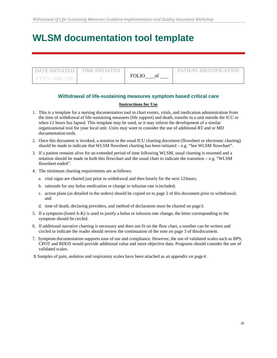# **WLSM documentation tool template**

| I DATE INITIATED L'IME INITIATED |          | PATIENT IDENTIFICATION |
|----------------------------------|----------|------------------------|
| 7 Y Y Y 7 M M 7 DD               | $FOL$ IO |                        |

#### **Withdrawal of life-sustaining measures symptom based critical care**

#### **Instructions for Use**

- 1. This is a template for a nursing documentation tool to chart events, vitals, and medication administration from the time of withdrawal of life-sustaining measures (life support) and death, transfer to a unit outside the ICU or when 12 hours has lapsed. This template may be used, or it may inform the development of a similar organizational tool for your local unit. Units may want to consider the use of additional RT and or MD documentation tools.
- 2. Once this document is invoked, a notation in the usual ICU charting document (flowsheet or electronic charting) should be made to indicate that WLSM flowsheet charting has been initiated  $-$  e.g. "See WLSM flowchart".
- 3. If a patient remains alive for an extended period of time following WLSM, usual charting is resumed and a notation should be made in both this flowchart and the usual chart to indicate the transition – e.g. "WLSM flowsheet ended".
- 4. The minimum charting requirements are asfollows:
	- a. vital signs are charted just prior to withdrawal and then hourly for the next 12hours;
	- b. rationale for any bolus medication or change in infusion rate isincluded;
	- c. action plans (as detailed in the orders) should be copied on to page 2 of this document prior to withdrawal; and
	- d. time of death, declaring providers, and method of declaration must be charted on page3.
- 5. If a symptom (listed A-K) is used to justify a bolus or infusion rate change, the letter corresponding to the symptom should be circled.
- 6. If additional narrative charting is necessary and does not fit on the flow chart, a number can be written and circled to indicate the reader should review the continuation of the note on page 3 of thisdocument.
- 7. Symptom documentation supports ease of use and compliance. However, the use of validated scales such as BPS, CPOT and RDOS would provide additional value and more objective data. Programs should consider the use of validated scales.
- 8.Samples of pain, sedation and respiratory scales have been attached as an appendix on page 4.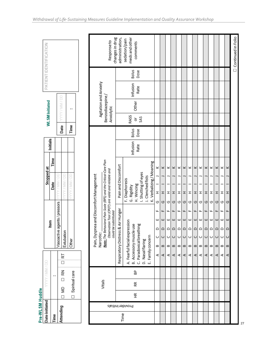| changes in drug<br>Bolus<br>Dose<br>Agitation and Anxiety<br>Infusion<br>Rate<br>Benzodiazepine/<br>TYYY / MM / DD<br><b>WLSM</b> Initiated<br>Other<br>Anxiolytic<br>.,<br>RASS<br>SAS<br>ŏ<br>Time<br>Date<br>Bolus<br>Dose<br>Initials<br>Infusion<br>Rate<br>Time<br>Note: The Behavioral Pain Scale (BPS) and the Critical-Care Plan<br>K. Verbalizing / Moaning<br>Pain and Discomfort<br>Stopped at<br>×<br>×<br>×<br>×<br>×<br>×<br>×<br>×<br>×<br>×<br>×<br>×<br>×<br>×<br>Observation Tool (CPOT) are valid and reliable and<br>I. Shutting of eyes<br>Pain, Dyspnea and Discomfort Management<br><b>TAN/MIVIVA</b><br><b>I MINI / DE</b><br>J. Clenched fists<br>F. Diaphoresis<br>Date<br>H. Wincing<br>G. Rigidity<br>ᆂ<br>H<br>ェ<br>ᆂ<br>ェ<br>ᆂ<br>ェ<br>ェ<br>ェ<br>ェ<br>ェ<br>ᆂ<br>ェ<br>ᆂ<br>G<br>G<br>O<br>O<br>O<br>ပ<br>O<br>O<br>ပ<br>O<br>ပ<br>O<br>ပ<br>ပ<br>Vasoactive agents / pressors<br>Respiratory Distress & Air Hunger<br>could be substituted<br>щ<br>щ<br>щ<br>щ<br>╙<br>щ<br>щ<br>ட<br>щ<br>ட<br>щ<br>щ<br>щ<br>щ<br>ш<br>ш<br>ш<br>ш<br>ш<br>ш<br>ш<br>ш<br>ш<br>ш<br>ш<br>ш<br>ш<br>ш<br>A. Fearful facial expression<br>ltem<br>C. Paradoxical breathing<br>B. Accessory muscle use<br>$\circ$<br>$\mathop\simeq$<br>≏<br>≏<br>≏<br>$\circ$<br>≏<br>$\circ$<br>≏<br>≏<br>$\circ$<br>≏<br>≏<br>≏<br>Extubation<br>Narcotic:<br>U<br>ပ<br>U<br>$\cup$<br>U<br>$\cup$<br>ပ<br>ပ<br>ပ<br>ပ<br>O<br>$\cup$<br>U<br>ပ<br>E. Family concerr<br><b>Other</b><br>D. Nasal flaring<br>$\omega$<br>$\,$ $\,$<br>$\, \underline{\mathrm{m}}$<br>B<br>$\mathbf{\Omega}$<br>മി<br>$\mathbf{\underline{\omega}}$<br>മ<br>$\mathbf{m}$<br>B<br>$\mathbf{\Omega}$<br>B<br>മ <br>B<br>k<br>∢<br>∢<br>∢<br>⋖<br>∢<br>⋖<br>∢<br>⋖<br>⋖<br>⋖<br>⋖<br>⋖<br>⋖<br>⋖<br>ö<br>줁<br>₷<br>Spiritual care<br>$\ddot{\phantom{0}}$<br>$\Box$<br>Vitals<br>Æ<br>⋚<br>£<br>$\Box$<br>$\Box$<br>Provider Initials<br>Attending<br>Time<br>Time | Pre-WLSM Huddle<br>Date initiated |  | <b>COV MM / DO</b> |  |  |  |  |  |  |  | PATIENTIDENTIFICATION                       |  |
|-----------------------------------------------------------------------------------------------------------------------------------------------------------------------------------------------------------------------------------------------------------------------------------------------------------------------------------------------------------------------------------------------------------------------------------------------------------------------------------------------------------------------------------------------------------------------------------------------------------------------------------------------------------------------------------------------------------------------------------------------------------------------------------------------------------------------------------------------------------------------------------------------------------------------------------------------------------------------------------------------------------------------------------------------------------------------------------------------------------------------------------------------------------------------------------------------------------------------------------------------------------------------------------------------------------------------------------------------------------------------------------------------------------------------------------------------------------------------------------------------------------------------------------------------------------------------------------------------------------------------------------------------------------------------------------------------------------------------------------------------------------------------------------------------------------------------------------------------------------------------------------------------------------------------------------------------|-----------------------------------|--|--------------------|--|--|--|--|--|--|--|---------------------------------------------|--|
|                                                                                                                                                                                                                                                                                                                                                                                                                                                                                                                                                                                                                                                                                                                                                                                                                                                                                                                                                                                                                                                                                                                                                                                                                                                                                                                                                                                                                                                                                                                                                                                                                                                                                                                                                                                                                                                                                                                                               |                                   |  |                    |  |  |  |  |  |  |  |                                             |  |
|                                                                                                                                                                                                                                                                                                                                                                                                                                                                                                                                                                                                                                                                                                                                                                                                                                                                                                                                                                                                                                                                                                                                                                                                                                                                                                                                                                                                                                                                                                                                                                                                                                                                                                                                                                                                                                                                                                                                               |                                   |  |                    |  |  |  |  |  |  |  |                                             |  |
|                                                                                                                                                                                                                                                                                                                                                                                                                                                                                                                                                                                                                                                                                                                                                                                                                                                                                                                                                                                                                                                                                                                                                                                                                                                                                                                                                                                                                                                                                                                                                                                                                                                                                                                                                                                                                                                                                                                                               |                                   |  |                    |  |  |  |  |  |  |  |                                             |  |
|                                                                                                                                                                                                                                                                                                                                                                                                                                                                                                                                                                                                                                                                                                                                                                                                                                                                                                                                                                                                                                                                                                                                                                                                                                                                                                                                                                                                                                                                                                                                                                                                                                                                                                                                                                                                                                                                                                                                               |                                   |  |                    |  |  |  |  |  |  |  |                                             |  |
|                                                                                                                                                                                                                                                                                                                                                                                                                                                                                                                                                                                                                                                                                                                                                                                                                                                                                                                                                                                                                                                                                                                                                                                                                                                                                                                                                                                                                                                                                                                                                                                                                                                                                                                                                                                                                                                                                                                                               |                                   |  |                    |  |  |  |  |  |  |  |                                             |  |
|                                                                                                                                                                                                                                                                                                                                                                                                                                                                                                                                                                                                                                                                                                                                                                                                                                                                                                                                                                                                                                                                                                                                                                                                                                                                                                                                                                                                                                                                                                                                                                                                                                                                                                                                                                                                                                                                                                                                               |                                   |  |                    |  |  |  |  |  |  |  |                                             |  |
|                                                                                                                                                                                                                                                                                                                                                                                                                                                                                                                                                                                                                                                                                                                                                                                                                                                                                                                                                                                                                                                                                                                                                                                                                                                                                                                                                                                                                                                                                                                                                                                                                                                                                                                                                                                                                                                                                                                                               |                                   |  |                    |  |  |  |  |  |  |  | Response to                                 |  |
|                                                                                                                                                                                                                                                                                                                                                                                                                                                                                                                                                                                                                                                                                                                                                                                                                                                                                                                                                                                                                                                                                                                                                                                                                                                                                                                                                                                                                                                                                                                                                                                                                                                                                                                                                                                                                                                                                                                                               |                                   |  |                    |  |  |  |  |  |  |  | administration,                             |  |
|                                                                                                                                                                                                                                                                                                                                                                                                                                                                                                                                                                                                                                                                                                                                                                                                                                                                                                                                                                                                                                                                                                                                                                                                                                                                                                                                                                                                                                                                                                                                                                                                                                                                                                                                                                                                                                                                                                                                               |                                   |  |                    |  |  |  |  |  |  |  | meds and other<br>sedation/pain<br>comments |  |
|                                                                                                                                                                                                                                                                                                                                                                                                                                                                                                                                                                                                                                                                                                                                                                                                                                                                                                                                                                                                                                                                                                                                                                                                                                                                                                                                                                                                                                                                                                                                                                                                                                                                                                                                                                                                                                                                                                                                               |                                   |  |                    |  |  |  |  |  |  |  |                                             |  |
|                                                                                                                                                                                                                                                                                                                                                                                                                                                                                                                                                                                                                                                                                                                                                                                                                                                                                                                                                                                                                                                                                                                                                                                                                                                                                                                                                                                                                                                                                                                                                                                                                                                                                                                                                                                                                                                                                                                                               |                                   |  |                    |  |  |  |  |  |  |  |                                             |  |
|                                                                                                                                                                                                                                                                                                                                                                                                                                                                                                                                                                                                                                                                                                                                                                                                                                                                                                                                                                                                                                                                                                                                                                                                                                                                                                                                                                                                                                                                                                                                                                                                                                                                                                                                                                                                                                                                                                                                               |                                   |  |                    |  |  |  |  |  |  |  |                                             |  |
|                                                                                                                                                                                                                                                                                                                                                                                                                                                                                                                                                                                                                                                                                                                                                                                                                                                                                                                                                                                                                                                                                                                                                                                                                                                                                                                                                                                                                                                                                                                                                                                                                                                                                                                                                                                                                                                                                                                                               |                                   |  |                    |  |  |  |  |  |  |  |                                             |  |
|                                                                                                                                                                                                                                                                                                                                                                                                                                                                                                                                                                                                                                                                                                                                                                                                                                                                                                                                                                                                                                                                                                                                                                                                                                                                                                                                                                                                                                                                                                                                                                                                                                                                                                                                                                                                                                                                                                                                               |                                   |  |                    |  |  |  |  |  |  |  |                                             |  |
|                                                                                                                                                                                                                                                                                                                                                                                                                                                                                                                                                                                                                                                                                                                                                                                                                                                                                                                                                                                                                                                                                                                                                                                                                                                                                                                                                                                                                                                                                                                                                                                                                                                                                                                                                                                                                                                                                                                                               |                                   |  |                    |  |  |  |  |  |  |  |                                             |  |
|                                                                                                                                                                                                                                                                                                                                                                                                                                                                                                                                                                                                                                                                                                                                                                                                                                                                                                                                                                                                                                                                                                                                                                                                                                                                                                                                                                                                                                                                                                                                                                                                                                                                                                                                                                                                                                                                                                                                               |                                   |  |                    |  |  |  |  |  |  |  |                                             |  |
|                                                                                                                                                                                                                                                                                                                                                                                                                                                                                                                                                                                                                                                                                                                                                                                                                                                                                                                                                                                                                                                                                                                                                                                                                                                                                                                                                                                                                                                                                                                                                                                                                                                                                                                                                                                                                                                                                                                                               |                                   |  |                    |  |  |  |  |  |  |  |                                             |  |
|                                                                                                                                                                                                                                                                                                                                                                                                                                                                                                                                                                                                                                                                                                                                                                                                                                                                                                                                                                                                                                                                                                                                                                                                                                                                                                                                                                                                                                                                                                                                                                                                                                                                                                                                                                                                                                                                                                                                               |                                   |  |                    |  |  |  |  |  |  |  |                                             |  |
|                                                                                                                                                                                                                                                                                                                                                                                                                                                                                                                                                                                                                                                                                                                                                                                                                                                                                                                                                                                                                                                                                                                                                                                                                                                                                                                                                                                                                                                                                                                                                                                                                                                                                                                                                                                                                                                                                                                                               |                                   |  |                    |  |  |  |  |  |  |  |                                             |  |
|                                                                                                                                                                                                                                                                                                                                                                                                                                                                                                                                                                                                                                                                                                                                                                                                                                                                                                                                                                                                                                                                                                                                                                                                                                                                                                                                                                                                                                                                                                                                                                                                                                                                                                                                                                                                                                                                                                                                               |                                   |  |                    |  |  |  |  |  |  |  |                                             |  |
|                                                                                                                                                                                                                                                                                                                                                                                                                                                                                                                                                                                                                                                                                                                                                                                                                                                                                                                                                                                                                                                                                                                                                                                                                                                                                                                                                                                                                                                                                                                                                                                                                                                                                                                                                                                                                                                                                                                                               |                                   |  |                    |  |  |  |  |  |  |  |                                             |  |
|                                                                                                                                                                                                                                                                                                                                                                                                                                                                                                                                                                                                                                                                                                                                                                                                                                                                                                                                                                                                                                                                                                                                                                                                                                                                                                                                                                                                                                                                                                                                                                                                                                                                                                                                                                                                                                                                                                                                               |                                   |  |                    |  |  |  |  |  |  |  |                                             |  |
|                                                                                                                                                                                                                                                                                                                                                                                                                                                                                                                                                                                                                                                                                                                                                                                                                                                                                                                                                                                                                                                                                                                                                                                                                                                                                                                                                                                                                                                                                                                                                                                                                                                                                                                                                                                                                                                                                                                                               |                                   |  |                    |  |  |  |  |  |  |  |                                             |  |
|                                                                                                                                                                                                                                                                                                                                                                                                                                                                                                                                                                                                                                                                                                                                                                                                                                                                                                                                                                                                                                                                                                                                                                                                                                                                                                                                                                                                                                                                                                                                                                                                                                                                                                                                                                                                                                                                                                                                               |                                   |  |                    |  |  |  |  |  |  |  |                                             |  |

 $\frac{1}{27}$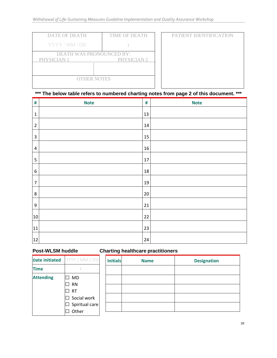| <b>DATE OF DEATH</b>                    | <b>TIME OF DEATH</b>   | PATIENT IDENTIFICATION |
|-----------------------------------------|------------------------|------------------------|
| YYYY/MM/DD                              |                        |                        |
| DEATH WAS PRONOUNCED BY:<br>PHYSICIAN 1 | PHYSICIAN <sub>2</sub> |                        |
| <b>OTHER NOTES</b>                      |                        |                        |

### **\*\*\* The below table refers to numbered charting notes from page 2 of this document. \*\*\***

| $\#$                    | <b>Note</b> | $\#$ | <b>Note</b> |
|-------------------------|-------------|------|-------------|
| $\mathbf 1$             |             | 13   |             |
| $\mathbf 2$             |             | 14   |             |
| $\overline{\mathbf{3}}$ |             | 15   |             |
| 4                       |             | 16   |             |
| 5                       |             | 17   |             |
| 6                       |             | 18   |             |
| $\overline{7}$          |             | 19   |             |
| $\bf 8$                 |             | 20   |             |
| $\boldsymbol{9}$        |             | 21   |             |
| 10                      |             | 22   |             |
| 11                      |             | 23   |             |
| 12                      |             | 24   |             |

# **Post-WLSM huddle Charting healthcare practitioners**

| <b>Date initiated</b> | YYYY / MM / DD                                           |
|-----------------------|----------------------------------------------------------|
| Fime                  |                                                          |
| <b>Attending</b>      | MD<br>Ιl<br><b>RN</b><br><b>RT</b><br>$\Box$ Social work |
|                       | $\Box$ Spiritual care<br>$\sqcap$ Other                  |

| <b>Initials</b> | <b>Name</b> | <b>Designation</b> |
|-----------------|-------------|--------------------|
|                 |             |                    |
|                 |             |                    |
|                 |             |                    |
|                 |             |                    |
|                 |             |                    |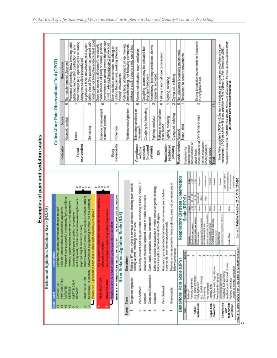Examples of pain and sedation scales

|                           | COMBATIVE<br>Label                                                                              | Description                                       | immediate danger to staff                                                                                                                                                                |                                                         |                                          |                                         |                                                     | Critical-Care Pain Observational Tool (CPOT)                                                                                                                                                      |  |
|---------------------------|-------------------------------------------------------------------------------------------------|---------------------------------------------------|------------------------------------------------------------------------------------------------------------------------------------------------------------------------------------------|---------------------------------------------------------|------------------------------------------|-----------------------------------------|-----------------------------------------------------|---------------------------------------------------------------------------------------------------------------------------------------------------------------------------------------------------|--|
|                           | <b>VERY AGITATED</b>                                                                            | Combative, violent,                               | Pulls to remove tubes or catheters; aggressive                                                                                                                                           |                                                         |                                          | Indicator                               | Score                                               | Description                                                                                                                                                                                       |  |
|                           | AGITATED                                                                                        |                                                   | Frequent non-purposeful movement, fights ventilator                                                                                                                                      |                                                         |                                          |                                         | $\circ$<br>Relaxed, neutral                         | No muscle tension observed                                                                                                                                                                        |  |
|                           | ALERT & CALM<br>RESTLESS<br>DROWSY                                                              |                                                   | Not fully alert, but has sustained awakening to voice<br>Anxious, apprehensive, movements not aggressive<br>Spontaneously pays attention to caregiver<br>(eye opening & contact >10 sec) |                                                         |                                          | expressions<br>Facial                   | Tense                                               | other change (e.g. opening eyes or learing<br>Presence of frowning, brow lowering, orbit<br>tightening and levator contraction or any<br>during nociceptive procedures)                           |  |
| Ņ                         | + If RASS is ≥-3 proceed to CAM-ICU (is patient (<br>MODERATE SEDATION<br><b>LIGHT SEDATION</b> |                                                   | Briefly awakens to voice (eyes open & contact <10sec)<br>Movement or eye opening to voice (no eye contact)<br>CAM-ICU positive or negative?                                              |                                                         | $0 - U =$                                |                                         | $\sim$<br>Grimacing                                 | mouth open or biting the endotracheal tube)<br>tightly closed (the patient may present with<br>All previous facial movements plus eyelid                                                          |  |
|                           | DEEP SEDATION<br><b>UNAROUSABLE</b>                                                             | physical stimulatio<br>No response to vo          | e, but movement or eye opening<br>e or physical stimulation                                                                                                                              |                                                         | $-000x$                                  |                                         | 0<br>Absence of movement<br>or normal position      | (movements not aimed toward the pain site<br>mean absence of pain) or normal position<br>Does not move at all (doesn't necessarily                                                                |  |
|                           | If RASS is 4 or -5 $\rightarrow$ 5TOP (a)                                                       |                                                   | <b>RECHECK later</b>                                                                                                                                                                     |                                                         |                                          |                                         |                                                     | or not made for the purpose of protection)                                                                                                                                                        |  |
|                           | Bessler                                                                                         | et al. Am J Respir Cirt Care Med 2002, 156: 1338- | Ely et al. JAMA 2003.286.2983-2991<br>莒                                                                                                                                                  |                                                         |                                          | movements<br>Body                       | ٣<br>Protection                                     | Slow, cautious movements, touching or<br>rubbing the pain site, seeking attention                                                                                                                 |  |
|                           |                                                                                                 |                                                   | Riker Sedation-Agitation Scale (SAS)                                                                                                                                                     |                                                         |                                          |                                         |                                                     | through movements                                                                                                                                                                                 |  |
| Score<br>N                | Term                                                                                            | Descriptor                                        |                                                                                                                                                                                          |                                                         |                                          |                                         | $\sim$<br>Restlessness/Agitation                    | Pulling tube, attempting to sit up, moving<br>limbsithrashing, not following commands,<br>striking at staff, trying to climb out of bed                                                           |  |
|                           | Dangerous Agitation                                                                             |                                                   | Pulling at ET tube, trying to remove catheters, climbing over bedrail,<br>striking at staff, thrashing side-to-side                                                                      |                                                         |                                          |                                         | Tolerating ventilator or                            |                                                                                                                                                                                                   |  |
| نه                        | Very Agitated                                                                                   | Requiring restraint and                           | frequent verbal reminding of limbs, bring ETT                                                                                                                                            |                                                         |                                          | Compliance<br>with the                  | $\circ$<br>movement                                 | Alarms not activated, easy ventilation                                                                                                                                                            |  |
|                           | Agitated                                                                                        |                                                   | Anxious or physically agitated, calms to verbal instructions                                                                                                                             |                                                         |                                          | intubated<br>ventilator                 | $\overline{ }$<br>Coughing but tolerating           | Coughing, alarms may be activated but<br>stop spontaneously                                                                                                                                       |  |
|                           | Calm and Cooperative<br>Sedated                                                                 |                                                   | Difficult to arouse but awakens to verbal stimuli or gentle shaking,<br>Calm, easily arousable, follow commands                                                                          |                                                         |                                          | patients)                               | $\sim$<br>Fighting ventilator                       | Asynchrony: blocking ventilation, alarms<br>frequently activated                                                                                                                                  |  |
|                           |                                                                                                 |                                                   | follows simple commands but drifts off again                                                                                                                                             |                                                         |                                          | œ                                       | $\circ$<br>Talking in normal tone                   | Talking in normal tone or no sound                                                                                                                                                                |  |
|                           | Very Sedated                                                                                    |                                                   | Arouses to physical stimuli but does not communicate or follow<br>commands, may move spontaneously                                                                                       |                                                         |                                          | Vocalization<br><i><b>extubated</b></i> | $\overline{ }$<br>Sighing, moaning<br>or no sound   | Sighing, moaning                                                                                                                                                                                  |  |
|                           | Unarousable                                                                                     | follow commands                                   | Minimal or no response to noxious stimuli, does not communicate or                                                                                                                       |                                                         |                                          | patients)                               | $\sim$<br>Crying out, sobbing                       | Crying out, sobbing                                                                                                                                                                               |  |
|                           | Behavioral Pain Scale (BPS)                                                                     |                                                   | Respiratory Distress Observation                                                                                                                                                         |                                                         |                                          | Muscle tension Relaxed                  | $\circ$                                             | No resistance to passive movements                                                                                                                                                                |  |
| Item                      | Description                                                                                     | Score                                             |                                                                                                                                                                                          | Scale (RDOS)                                            |                                          | Evaluation by                           | ÷<br>Tense, noid                                    | Resistance to passive movements                                                                                                                                                                   |  |
|                           | Partially tightened<br>Relaxed                                                                  | ev                                                | Variada<br>Heart rate per minute<br>Regiratory rate per minute<br>Restlessness:                                                                                                          | $90 - 109$<br>1 pt<br>0 <sub>pc</sub><br>$\frac{90}{2}$ | $rac{8}{4}$<br>2 pts                     | and extension of<br>passive flexion     |                                                     |                                                                                                                                                                                                   |  |
| Facial                    | (e.g. brow lowering)                                                                            |                                                   |                                                                                                                                                                                          | $19 - 30$<br>519                                        | 肩                                        | upper limbs                             |                                                     | Strong to passive movements or incapacity                                                                                                                                                         |  |
| uoissendxe                | (e.g. eyelid closing)<br>Fully tightened                                                        | e5                                                | purposeful movements<br>8                                                                                                                                                                | Occasional<br>sight<br>None                             | Frequent                                 | rest or evaluation                      | $\sim$<br>when patient is at Very tense or rigid    | to complete them                                                                                                                                                                                  |  |
|                           | No movement<br>Grimacing                                                                        | ÷                                                 | Accessory muscle use:                                                                                                                                                                    | stight<br>None                                          | Promounced                               | when patient is                         |                                                     |                                                                                                                                                                                                   |  |
|                           | Partially bent                                                                                  | e                                                 | me in clavicle during important<br>Paradoxical breathing<br>Grunting at end explicition:                                                                                                 | None                                                    | Present                                  | being turned                            |                                                     |                                                                                                                                                                                                   |  |
| Upper limb<br>movement    | Fully bent with finger flexion                                                                  | $\mathcal{O}$                                     |                                                                                                                                                                                          | $\,$<br>None                                            | Present                                  | <b>Total</b>                            | $\frac{8}{2}$                                       |                                                                                                                                                                                                   |  |
| Compliance                | Permanently retracted<br>Tolerating movement                                                    | ÷                                                 | involuntary movement of nares<br>guttural sound<br>Nasal flaring:                                                                                                                        | None                                                    | Present                                  |                                         |                                                     | "Note: When a patient's CPOT is >3, the learn will evaluate pain sources and modifyienhance pain"<br>management. CPOT sensitivity = 86% and specificity = 78% (Gélinas C, J Pain Sympt Man 2009). |  |
| with                      | ventilation for the most of time<br>Coughing but tolerating                                     | ev                                                |                                                                                                                                                                                          |                                                         | facial muscles tense,<br>Eyes wide open. |                                         |                                                     | Adapted from Gelinas et al., AJCC 2006; 19(4):420-427). Reproduced with permission. For more information about the CPOT                                                                           |  |
| mechanical<br>ventilation | Unable to control ventilation<br>Fighting ventilator                                            | e5<br>₩                                           | sk of fear                                                                                                                                                                               | None                                                    | brow furrowed,<br>mouth open             |                                         | use, contact the author at celine gelinas@mcgill.ca |                                                                                                                                                                                                   |  |
|                           | "Note: BPS score ranges from 3 (no pain) to 12 (maximum pain).                                  |                                                   | Journal of Pallative Medicine, 2010; 13(3): 285-290                                                                                                                                      |                                                         |                                          |                                         |                                                     |                                                                                                                                                                                                   |  |

29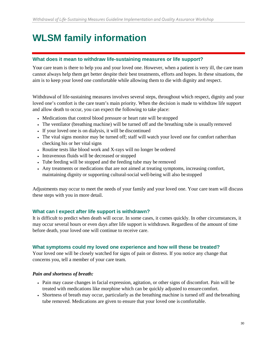# **WLSM family information**

#### **What does it mean to withdraw life-sustaining measures or life support?**

Your care team is there to help you and your loved one. However, when a patient is very ill, the care team cannot always help them get better despite their best treatments, efforts and hopes. In these situations, the aim is to keep your loved one comfortable while allowing them to die with dignity and respect.

Withdrawal of life-sustaining measures involves several steps, throughout which respect, dignity and your loved one's comfort is the care team's main priority. When the decision is made to withdraw life support and allow death to occur, you can expect the following to take place:

- Medications that control blood pressure or heart rate will be stopped
- The ventilator (breathing machine) will be turned off and the breathing tube is usually removed
- If your loved one is on dialysis, it will be discontinued
- The vital signs monitor may be turned off; staff will watch your loved one for comfort ratherthan checking his or her vital signs
- Routine tests like blood work and X-rays will no longer be ordered
- Intravenous fluids will be decreased or stopped
- Tube feeding will be stopped and the feeding tube may be removed
- Any treatments or medications that are not aimed at treating symptoms, increasing comfort, maintaining dignity or supporting cultural-social well-being will also be stopped

Adjustments may occur to meet the needs of your family and your loved one. Your care team will discuss these steps with you in more detail.

#### **What can I expect after life support is withdrawn?**

It is difficult to predict when death will occur. In some cases, it comes quickly. In other circumstances, it may occur several hours or even days after life support is withdrawn. Regardless of the amount of time before death, your loved one will continue to receive care.

#### **What symptoms could my loved one experience and how will these be treated?**

Your loved one will be closely watched for signs of pain or distress. If you notice any change that concerns you, tell a member of your care team.

#### *Pain and shortness of breath:*

- Pain may cause changes in facial expression, agitation, or other signs of discomfort. Pain will be treated with medications like morphine which can be quickly adjusted to ensurecomfort.
- Shortness of breath may occur, particularly as the breathing machine is turned off and thebreathing tube removed. Medications are given to ensure that your loved one is comfortable.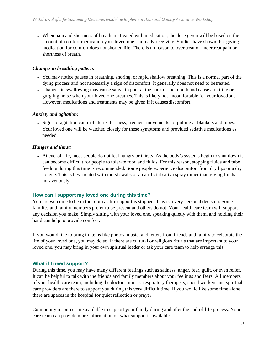• When pain and shortness of breath are treated with medication, the dose given will be based on the amount of comfort medication your loved one is already receiving. Studies have shown that giving medication for comfort does not shorten life. There is no reason to over treat or undertreat pain or shortness of breath.

#### *Changes in breathing pattern:*

- You may notice pauses in breathing, snoring, or rapid shallow breathing. This is a normal part of the dying process and not necessarily a sign of discomfort. It generally does not need to betreated.
- Changes in swallowing may cause saliva to pool at the back of the mouth and cause a rattling or gurgling noise when your loved one breathes. This is likely not uncomfortable for your lovedone. However, medications and treatments may be given if it causes discomfort.

#### *Anxiety and agitation:*

• Signs of agitation can include restlessness, frequent movements, or pulling at blankets and tubes. Your loved one will be watched closely for these symptoms and provided sedative medications as needed.

#### *Hunger and thirst:*

• At end-of-life, most people do not feel hungry or thirsty. As the body's systems begin to shut down it can become difficult for people to tolerate food and fluids. For this reason, stopping fluids and tube feeding during this time is recommended. Some people experience discomfort from dry lips or a dry tongue. This is best treated with moist swabs or an artificial saliva spray rather than giving fluids intravenously.

#### **How can I support my loved one during this time?**

You are welcome to be in the room as life support is stopped. This is a very personal decision. Some families and family members prefer to be present and others do not. Your health care team will support any decision you make. Simply sitting with your loved one, speaking quietly with them, and holding their hand can help to provide comfort.

If you would like to bring in items like photos, music, and letters from friends and family to celebrate the life of your loved one, you may do so. If there are cultural or religious rituals that are important to your loved one, you may bring in your own spiritual leader or ask your care team to help arrange this.

#### **What if I need support?**

During this time, you may have many different feelings such as sadness, anger, fear, guilt, or even relief. It can be helpful to talk with the friends and family members about your feelings and fears. All members of your health care team, including the doctors, nurses, respiratory therapists, social workers and spiritual care providers are there to support you during this very difficult time. If you would like some time alone, there are spaces in the hospital for quiet reflection or prayer.

Community resources are available to support your family during and after the end-of-life process. Your care team can provide more information on what support is available.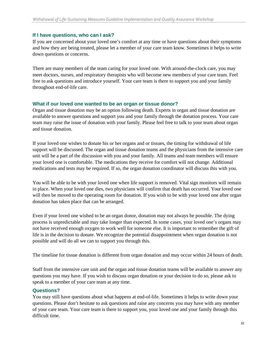#### **If I have questions, who can I ask?**

If you are concerned about your loved one's comfort at any time or have questions about their symptoms and how they are being treated, please let a member of your care team know. Sometimes it helps to write down questions or concerns.

There are many members of the team caring for your loved one. With around-the-clock care, you may meet doctors, nurses, and respiratory therapists who will become new members of your care team. Feel free to ask questions and introduce yourself. Your care team is there to support you and your family throughout end-of-life care.

#### **What if our loved one wanted to be an organ or tissue donor?**

Organ and tissue donation may be an option following death. Experts in organ and tissue donation are available to answer questions and support you and your family through the donation process. Your care team may raise the issue of donation with your family. Please feel free to talk to your team about organ and tissue donation.

If your loved one wishes to donate his or her organs and or tissues, the timing for withdrawal of life support will be discussed. The organ and tissue donation teams and the physicians from the intensive care unit will be a part of the discussion with you and your family. All teams and team members will ensure your loved one is comfortable. The medications they receive for comfort will not change. Additional medications and tests may be required. If so, the organ donation coordinator will discuss this with you.

You will be able to be with your loved one when life support is removed. Vital sign monitors will remain in place. When your loved one dies, two physicians will confirm that death has occurred. Your loved one will then be moved to the operating room for donation. If you wish to be with your loved one after organ donation has taken place that can be arranged.

Even if your loved one wished to be an organ donor, donation may not always be possible. The dying process is unpredictable and may take longer than expected. In some cases, your loved one's organs may not have received enough oxygen to work well for someone else. It is important to remember the gift of life is in the decision to donate. We recognize the potential disappointment when organ donation is not possible and will do all we can to support you through this.

The timeline for tissue donation is different from organ donation and may occur within 24 hours of death.

Staff from the intensive care unit and the organ and tissue donation teams will be available to answer any questions you may have. If you wish to discuss organ donation or your decision to do so, please ask to speak to a member of your care team at any time.

#### **Questions?**

You may still have questions about what happens at end-of-life. Sometimes it helps to write down your questions. Please don't hesitate to ask questions and raise any concerns you may have with any member of your care team. Your care team is there to support you, your loved one and your family through this difficult time.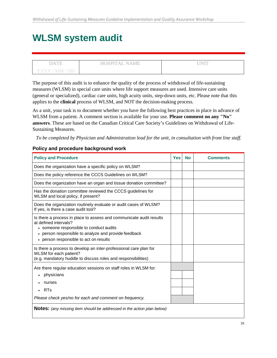# **WLSM system audit**

|              | "AL NAME-<br>HOSPE | $\sim$ |
|--------------|--------------------|--------|
| Y Y Y<br>M M |                    |        |

The purpose of this audit is to enhance the quality of the process of withdrawal of life-sustaining measures (WLSM) in special care units where life support measures are used. Intensive care units (general or specialized), cardiac care units, high acuity units, step-down units, etc. Please note that this applies to the **clinical** process of WLSM, and NOT the decision-making process.

As a unit, your task is to document whether you have the following best practices in place in advance of WLSM from a patient. A comment section is available for your use. **Please comment on any "No" answers**. These are based on the Canadian Critical Care Society's Guidelines on Withdrawal of Life-Sustaining Measures.

*To be completed by Physician and Administration lead for the unit, in consultation with front line staff.*

| <b>Policy and Procedure</b>                                                                                                                                                                                                               | <b>Yes</b> | <b>No</b> | <b>Comments</b> |
|-------------------------------------------------------------------------------------------------------------------------------------------------------------------------------------------------------------------------------------------|------------|-----------|-----------------|
| Does the organization have a specific policy on WLSM?                                                                                                                                                                                     |            |           |                 |
| Does the policy reference the CCCS Guidelines on WLSM?                                                                                                                                                                                    |            |           |                 |
| Does the organization have an organ and tissue donation committee?                                                                                                                                                                        |            |           |                 |
| Has the donation committee reviewed the CCCS guidelines for<br>WLSM and local policy, if present?                                                                                                                                         |            |           |                 |
| Does the organization routinely evaluate or audit cases of WLSM?<br>If yes, is there a case audit tool?                                                                                                                                   |            |           |                 |
| Is there a process in place to assess and communicate audit results<br>at defined intervals?<br>• someone responsible to conduct audits<br>• person responsible to analyze and provide feedback<br>• person responsible to act on results |            |           |                 |
| Is there a process to develop an inter-professional care plan for<br>WLSM for each patient?<br>(e.g. mandatory huddle to discuss roles and responsibilities)                                                                              |            |           |                 |
| Are there regular education sessions on staff roles in WLSM for:<br>physicians<br>٠<br>nurses<br><b>RTs</b><br>Please check yes/no for each and comment on frequency.                                                                     |            |           |                 |
| <b>Notes:</b> (any missing item should be addressed in the action plan below)                                                                                                                                                             |            |           |                 |

#### **Policy and procedure background work**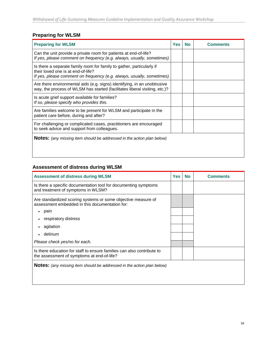### **Preparing for WLSM**

| <b>Preparing for WLSM</b>                                                                                                                                                             | Yes | No | Comments |
|---------------------------------------------------------------------------------------------------------------------------------------------------------------------------------------|-----|----|----------|
| Can the unit provide a private room for patients at end-of-life?<br>If yes, please comment on frequency (e.g. always, usually, sometimes).                                            |     |    |          |
| Is there a separate family room for family to gather, particularly if<br>their loved one is at end-of-life?<br>If yes, please comment on frequency (e.g. always, usually, sometimes). |     |    |          |
| Are there environmental aids (e.g. signs) identifying, in an unobtrusive<br>way, the process of WLSM has started (facilitates liberal visiting, etc.)?                                |     |    |          |
| Is acute grief support available for families?<br>If so, please specify who provides this.                                                                                            |     |    |          |
| Are families welcome to be present for WLSM and participate in the<br>patient care before, during and after?                                                                          |     |    |          |
| For challenging or complicated cases, practitioners are encouraged<br>to seek advice and support from colleagues.                                                                     |     |    |          |
| <b>Notes:</b> (any missing item should be addressed in the action plan below)                                                                                                         |     |    |          |

#### **Assessment of distress during WLSM**

| <b>Assessment of distress during WLSM</b>                                                                            | Yes | <b>No</b> | Comments |
|----------------------------------------------------------------------------------------------------------------------|-----|-----------|----------|
| Is there a specific documentation tool for documenting symptoms<br>and treatment of symptoms in WLSM?                |     |           |          |
| Are standardized scoring systems or some objective measure of<br>assessment embedded in this documentation for:      |     |           |          |
| pain                                                                                                                 |     |           |          |
| respiratory distress                                                                                                 |     |           |          |
| agitation                                                                                                            |     |           |          |
| delirium                                                                                                             |     |           |          |
| Please check yes/no for each.                                                                                        |     |           |          |
| Is there education for staff to ensure families can also contribute to<br>the assessment of symptoms at end-of-life? |     |           |          |
| <b>Notes:</b> (any missing item should be addressed in the action plan below)                                        |     |           |          |
|                                                                                                                      |     |           |          |
|                                                                                                                      |     |           |          |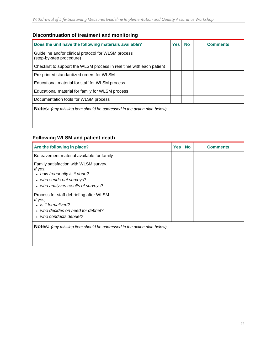### **Discontinuation of treatment and monitoring**

| Does the unit have the following materials available?                           | <b>Yes</b> | <b>No</b> | <b>Comments</b> |
|---------------------------------------------------------------------------------|------------|-----------|-----------------|
| Guideline and/or clinical protocol for WLSM process<br>(step-by-step procedure) |            |           |                 |
| Checklist to support the WLSM process in real time with each patient            |            |           |                 |
| Pre-printed standardized orders for WLSM                                        |            |           |                 |
| Educational material for staff for WLSM process                                 |            |           |                 |
| Educational material for family for WLSM process                                |            |           |                 |
| Documentation tools for WLSM process                                            |            |           |                 |
| <b>Notes:</b> (any missing item should be addressed in the action plan below)   |            |           |                 |

#### **Following WLSM and patient death**

| Are the following in place?                                                                                                                        | <b>Yes</b> | <b>No</b> | <b>Comments</b> |
|----------------------------------------------------------------------------------------------------------------------------------------------------|------------|-----------|-----------------|
| Bereavement material available for family                                                                                                          |            |           |                 |
| Family satisfaction with WLSM survey.<br>If yes,<br>• how frequently is it done?<br>• who sends out surveys?<br>• who analyzes results of surveys? |            |           |                 |
| Process for staff debriefing after WLSM<br>If yes,<br>• is it formalized?<br>who decides on need for debrief?<br>• who conducts debrief?           |            |           |                 |
| <b>Notes:</b> (any missing item should be addressed in the action plan below)                                                                      |            |           |                 |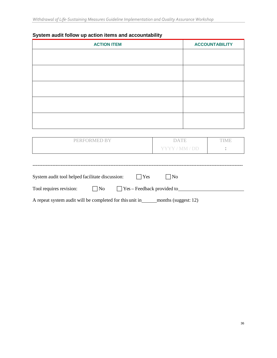| <b>ACTION ITEM</b> | <b>ACCOUNTABILITY</b> |
|--------------------|-----------------------|
|                    |                       |
|                    |                       |
|                    |                       |
|                    |                       |
|                    |                       |
|                    |                       |
|                    |                       |
|                    |                       |
|                    |                       |
|                    |                       |

### **System audit follow up action items and accountability**

| PERFORMED BY | <b>DATE</b>    | MF. |
|--------------|----------------|-----|
|              | YYYY / MM / DD |     |
|              |                |     |
|              |                |     |

| System audit tool helped facilitate discussion: |                    | l lYes                            | $1$ No |  |
|-------------------------------------------------|--------------------|-----------------------------------|--------|--|
| Tool requires revision:                         | $\overline{N_{0}}$ | $\Box$ Yes – Feedback provided to |        |  |

A repeat system audit will be completed for this unit in \_\_\_\_\_\_ months (suggest: 12)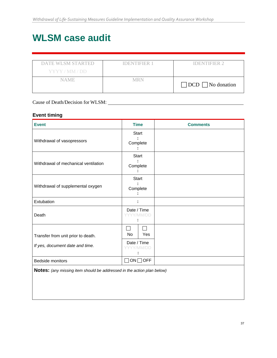# **WLSM case audit**

| <b>DATE WLSM STARTED</b><br>YYYY/MM/DD | <b>IDENTIFIER 1</b> | <b>IDENTIFIER 2</b>           |
|----------------------------------------|---------------------|-------------------------------|
| NAME.                                  | MRN                 | $\Box$ DCD $\Box$ No donation |

### Cause of Death/Decision for WLSM:

#### **Event timing**

| <b>Event</b>                                                           | <b>Time</b>                          | <b>Comments</b> |
|------------------------------------------------------------------------|--------------------------------------|-----------------|
| Withdrawal of vasopressors                                             | <b>Start</b><br>Complete             |                 |
| Withdrawal of mechanical ventilation                                   | <b>Start</b><br>Complete             |                 |
| Withdrawal of supplemental oxygen                                      | <b>Start</b><br>Complete             |                 |
| Extubation                                                             |                                      |                 |
| Death                                                                  | Date / Time<br>YY/MM/DD              |                 |
| Transfer from unit prior to death.<br>If yes, document date and time.  | No<br>Yes<br>Date / Time<br>YY/MM/DD |                 |
| Bedside monitors                                                       | $ON \square$ OFF<br>$\blacksquare$   |                 |
| Notes: (any missing item should be addressed in the action plan below) |                                      |                 |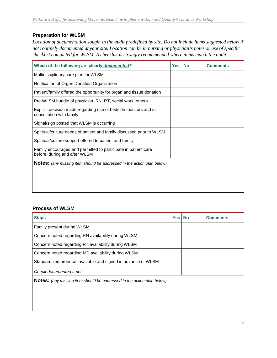#### **Preparation for WLSM**

*Location of documentation sought in the audit predefined by site. Do not include items suggested below if not routinely documented at your site. Location can be in nursing or physician's notes or use of specific checklist completed for WLSM. A checklist is strongly recommended where items match the audit.*

| Which of the following are clearly documented?                                                  | <b>Yes</b> | <b>No</b> | <b>Comments</b> |
|-------------------------------------------------------------------------------------------------|------------|-----------|-----------------|
| Multidisciplinary care plan for WLSM                                                            |            |           |                 |
| Notification of Organ Donation Organization                                                     |            |           |                 |
| Patient/family offered the opportunity for organ and tissue donation                            |            |           |                 |
| Pre-WLSM huddle of physician, RN, RT, social work, others                                       |            |           |                 |
| Explicit decision made regarding use of bedside monitors and in<br>consultation with family     |            |           |                 |
| Signal/sign posted that WLSM is occurring                                                       |            |           |                 |
| Spiritual/culture needs of patient and family discussed prior to WLSM                           |            |           |                 |
| Spiritual/culture support offered to patient and family                                         |            |           |                 |
| Family encouraged and permitted to participate in patient care<br>before, during and after WLSM |            |           |                 |
| <b>Notes:</b> (any missing item should be addressed in the action plan below)                   |            |           |                 |

#### **Process of WLSM**

| <b>Steps</b>                                                                  | <b>Yes</b> | No | <b>Comments</b> |
|-------------------------------------------------------------------------------|------------|----|-----------------|
| Family present during WLSM                                                    |            |    |                 |
| Concern noted regarding RN availability during WLSM                           |            |    |                 |
| Concern noted regarding RT availability during WLSM                           |            |    |                 |
| Concern noted regarding MD availability during WLSM                           |            |    |                 |
| Standardized order set available and signed in advance of WLSM                |            |    |                 |
| Check documented times.                                                       |            |    |                 |
| <b>Notes:</b> (any missing item should be addressed in the action plan below) |            |    |                 |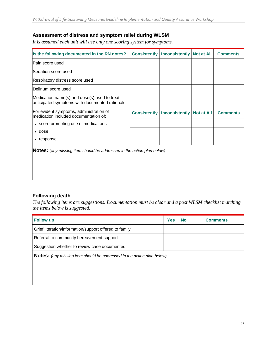#### **Assessment of distress and symptom relief during WLSM**

*It is assumed each unit will use only one scoring system for symptoms.*

| Is the following documented in the RN notes?                                                   | <b>Consistently</b> | Inconsistently        | <b>Not at All</b> | <b>Comments</b> |
|------------------------------------------------------------------------------------------------|---------------------|-----------------------|-------------------|-----------------|
| lPain score used                                                                               |                     |                       |                   |                 |
| Sedation score used                                                                            |                     |                       |                   |                 |
| Respiratory distress score used                                                                |                     |                       |                   |                 |
| Delirium score used                                                                            |                     |                       |                   |                 |
| Medication name(s) and dose(s) used to treat<br>anticipated symptoms with documented rationale |                     |                       |                   |                 |
| For evident symptoms, administration of<br>medication included documentation of:               | <b>Consistently</b> | <b>Inconsistently</b> | <b>Not at All</b> | <b>Comments</b> |
| • score prompting use of medications                                                           |                     |                       |                   |                 |
| • dose                                                                                         |                     |                       |                   |                 |
| • response                                                                                     |                     |                       |                   |                 |
| <b>Notes:</b> (any missing item should be addressed in the action plan below)                  |                     |                       |                   |                 |

#### **Following death**

*The following items are suggestions. Documentation must be clear and a post WLSM checklist matching the items below is suggested.*

| <b>Follow up</b>                                                              | <b>Yes</b> | <b>No</b> | <b>Comments</b> |
|-------------------------------------------------------------------------------|------------|-----------|-----------------|
| Grief literation/information/support offered to family                        |            |           |                 |
| Referral to community bereavement support                                     |            |           |                 |
| Suggestion whether to review case documented                                  |            |           |                 |
| <b>Notes:</b> (any missing item should be addressed in the action plan below) |            |           |                 |
|                                                                               |            |           |                 |
|                                                                               |            |           |                 |
|                                                                               |            |           |                 |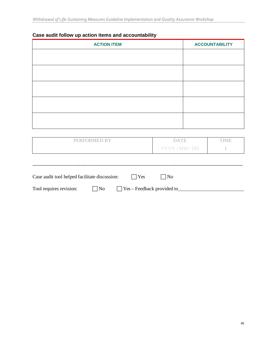### **Case audit follow up action items and accountability**

| <b>ACTION ITEM</b> | <b>ACCOUNTABILITY</b> |
|--------------------|-----------------------|
|                    |                       |
|                    |                       |
|                    |                       |
|                    |                       |
|                    |                       |
|                    |                       |
|                    |                       |
|                    |                       |
|                    |                       |
|                    |                       |

| PERFORMED BY | <b>DATE</b>    | `IME. |
|--------------|----------------|-------|
|              | YYYY / MM / DD |       |
|              |                |       |

| Case audit tool helped facilitate discussion: |           | $\perp$ $Y$ es                    | $\overline{\text{No}}$ |  |  |
|-----------------------------------------------|-----------|-----------------------------------|------------------------|--|--|
| Tool requires revision:                       | $\Box$ No | $\Box$ Yes – Feedback provided to |                        |  |  |

-------------------------------------------------------------------------------------------------------------------------------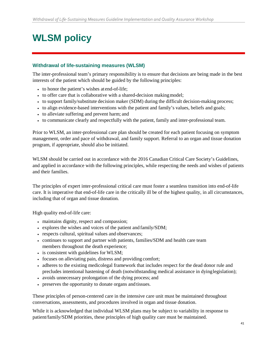# **WLSM policy**

#### **Withdrawal of life-sustaining measures (WLSM)**

The inter-professional team's primary responsibility is to ensure that decisions are being made in the best interests of the patient which should be guided by the following principles:

- to honor the patient's wishes at end-of-life;
- to offer care that is collaborative with a shared-decision making model;
- to support family/substitute decision maker (SDM) during the difficult decision-making process;
- to align evidence-based interventions with the patient and family's values, beliefs and goals;
- to alleviate suffering and prevent harm; and
- to communicate clearly and respectfully with the patient, family and inter-professional team.

Prior to WLSM, an inter-professional care plan should be created for each patient focusing on symptom management, order and pace of withdrawal, and family support. Referral to an organ and tissue donation program, if appropriate, should also be initiated.

WLSM should be carried out in accordance with the 2016 Canadian Critical Care Society's Guidelines, and applied in accordance with the following principles, while respecting the needs and wishes of patients and their families.

The principles of expert inter-professional critical care must foster a seamless transition into end-of-life care. It is imperative that end-of-life care in the critically ill be of the highest quality, in all circumstances, including that of organ and tissue donation.

High quality end-of-life care:

- maintains dignity, respect and compassion;
- explores the wishes and voices of the patient and family/SDM;
- respects cultural, spiritual values and observances;
- continues to support and partner with patients, families/SDM and health care team members throughout the death experience;
- is consistent with guidelines for WLSM;
- focuses on alleviating pain, distress and providing comfort;
- adheres to the existing medicolegal framework that includes respect for the dead donor rule and precludes intentional hastening of death (notwithstanding medical assistance in dyinglegislation);
- avoids unnecessary prolongation of the dying process; and
- preserves the opportunity to donate organs and tissues.

These principles of person-centered care in the intensive care unit must be maintained throughout conversations, assessments, and procedures involved in organ and tissue donation.

While it is acknowledged that individual WLSM plans may be subject to variability in response to patient/family/SDM priorities, these principles of high quality care must be maintained.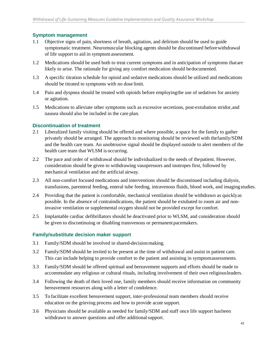#### **Symptom management**

- 1.1 Objective signs of pain, shortness of breath, agitation, and delirium should be used to guide symptomatic treatment. Neuromuscular blocking agents should be discontinued beforewithdrawal of life support to aid in symptomassessment.
- 1.2 Medications should be used both to treat current symptoms and in anticipation of symptoms thatare likely to arise. The rationale for giving any comfort medication should bedocumented.
- 1.3 A specific titration schedule for opioid and sedative medications should be utilized and medications should be titrated to symptoms with no dose limit.
- 1.4 Pain and dyspnea should be treated with opioids before employingthe use of sedatives for anxiety or agitation.
- 1.5 Medications to alleviate other symptoms such as excessive secretions, post-extubation stridor,and nausea should also be included in the care plan.

#### **Discontinuation of treatment**

- 2.1 Liberalized family visiting should be offered and where possible, a space for the family to gather privately should be arranged. The approach to monitoring should be reviewed with thefamily/SDM and the health care team. An unobtrusive signal should be displayed outside to alert members of the health care team that WLSM is occurring.
- 2.2 The pace and order of withdrawal should be individualized to the needs of thepatient. However, consideration should be given to withdrawing vasopressors and inotropes first, followed by mechanical ventilation and the artificial airway.
- 2.3 All non-comfort focused medications and interventions should be discontinued including dialysis, transfusions, parenteral feeding, enteral tube feeding, intravenous fluids, blood work, and imagingstudies.
- 2.4 Providing that the patient is comfortable, mechanical ventilation should be withdrawn as quicklyas possible. In the absence of contraindications, the patient should be extubated to room air and noninvasive ventilation or supplemental oxygen should not be provided except for comfort.
- 2.5 Implantable cardiac defibrillators should be deactivated prior to WLSM, and consideration should be given to discontinuing or disabling transvenous or permanent pacemakers.

#### **Family/substitute decision maker support**

- 3.1 Family/SDM should be involved in shared-decisionmaking.
- 3.2 Family/SDM should be invited to be present at the time of withdrawal and assist in patient care. This can include helping to provide comfort to the patient and assisting in symptomassessments.
- 3.3 Family/SDM should be offered spiritual and bereavement supports and efforts should be made to accommodate any religious or cultural rituals, including involvement of their own religiousleaders.
- 3.4 Following the death of their loved one, family members should receive information on community bereavement resources along with a letter of condolence.
- 3.5 To facilitate excellent bereavement support, inter-professional team members should receive education on the grieving process and how to provide acute support.
- 3.6 Physicians should be available as needed for family/SDM and staff once life support hasbeen withdrawn to answer questions and offer additional support.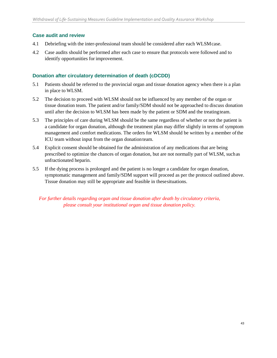#### **Case audit and review**

- 4.1 Debriefing with the inter-professional team should be considered after each WLSMcase.
- 4.2 Case audits should be performed after each case to ensure that protocols were followed and to identify opportunities for improvement.

#### **Donation after circulatory determination of death (cDCDD)**

- 5.1 Patients should be referred to the provincial organ and tissue donation agency when there is a plan in place to WLSM.
- 5.2 The decision to proceed with WLSM should not be influenced by any member of the organ or tissue donation team. The patient and/or family/SDM should not be approached to discuss donation until after the decision to WLSM has been made by the patient or SDM and the treatingteam.
- 5.3 The principles of care during WLSM should be the same regardless of whether or not the patient is a candidate for organ donation, although the treatment plan may differ slightly in terms of symptom management and comfort medications. The orders for WLSM should be written by a member ofthe ICU team without input from the organ donation team.
- 5.4 Explicit consent should be obtained for the administration of any medications that are being prescribed to optimize the chances of organ donation, but are not normally part of WLSM, suchas unfractionated heparin.
- 5.5 If the dying process is prolonged and the patient is no longer a candidate for organ donation, symptomatic management and family/SDM support will proceed as per the protocol outlined above. Tissue donation may still be appropriate and feasible in thesesituations.

*For further details regarding organ and tissue donation after death by circulatory criteria, please consult your institutional organ and tissue donation policy.*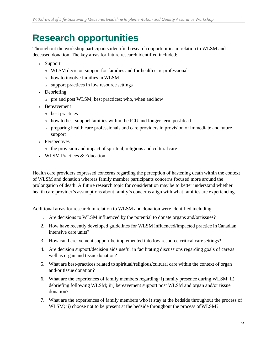# <span id="page-43-0"></span>**Research opportunities**

Throughout the workshop participants identified research opportunities in relation to WLSM and deceased donation. The key areas for future research identified included:

- Support
	- □ WLSM decision support for families and for health care professionals
	- $\Box$  how to involve families in WLSM
	- $\Box$  support practices in low resource settings
- Debriefing
	- $\Box$  pre and post WLSM, best practices; who, when and how
- Bereavement
	- □ best practices
	- $\Box$  how to best support families within the ICU and longer-term post death
	- $\Box$  preparing health care professionals and care providers in provision of immediate and future support
- Perspectives
	- $\Box$  the provision and impact of spiritual, religious and cultural care
- WLSM Practices & Education

Health care providers expressed concerns regarding the perception of hastening death within the context of WLSM and donation whereas family member participants concerns focused more around the prolongation of death. A future research topic for consideration may be to better understand whether health care provider's assumptions about family's concerns align with what families are experiencing.

Additional areas for research in relation to WLSM and donation were identified including:

- 1. Are decisions to WLSM influenced by the potential to donate organs and/ortissues?
- 2. How have recently developed guidelines for WLSM influenced/impacted practice inCanadian intensive care units?
- 3. How can bereavement support be implemented into low resource critical care settings?
- 4. Are decision support/decision aids useful in facilitating discussions regarding goals of careas well as organ and tissue donation?
- 5. What are best-practices related to spiritual/religious/cultural care within the context of organ and/or tissue donation?
- 6. What are the experiences of family members regarding: i) family presence during WLSM; ii) debriefing following WLSM; iii) bereavement support post WLSM and organ and/or tissue donation?
- 7. What are the experiences of family members who i) stay at the bedside throughout the process of WLSM; ii) choose not to be present at the bedside throughout the process of WLSM?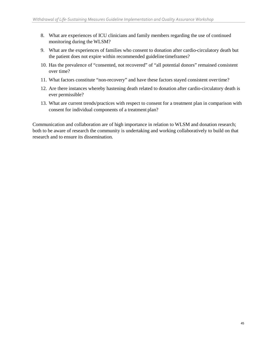- 8. What are experiences of ICU clinicians and family members regarding the use of continued monitoring during the WLSM?
- 9. What are the experiences of families who consent to donation after cardio-circulatory death but the patient does not expire within recommended guideline timeframes?
- 10. Has the prevalence of "consented, not recovered" of "all potential donors" remained consistent over time?
- 11. What factors constitute "non-recovery" and have these factors stayed consistent overtime?
- 12. Are there instances whereby hastening death related to donation after cardio-circulatory death is ever permissible?
- 13. What are current trends/practices with respect to consent for a treatment plan in comparison with consent for individual components of a treatment plan?

Communication and collaboration are of high importance in relation to WLSM and donation research; both to be aware of research the community is undertaking and working collaboratively to build on that research and to ensure its dissemination.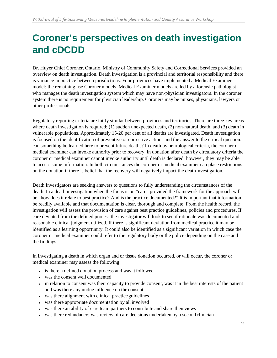# **Coroner's perspectives on death investigation and cDCDD**

Dr. Huyer Chief Coroner, Ontario, Ministry of Community Safety and Correctional Services provided an overview on death investigation. Death investigation is a provincial and territorial responsibility and there is variance in practice between jurisdictions. Four provinces have implemented a Medical Examiner model; the remaining use Coroner models. Medical Examiner models are led by a forensic pathologist who manages the death investigation system which may have non-physician investigators. In the coroner system there is no requirement for physician leadership. Coroners may be nurses, physicians, lawyers or other professionals.

Regulatory reporting criteria are fairly similar between provinces and territories. There are three key areas where death investigation is required: (1) sudden unexpected death, (2) non-natural death, and (3) death in vulnerable populations. Approximately 15-20 per cent of all deaths are investigated. Death investigation is focused on the identification of preventive or corrective actions and the answer to the critical question: can something be learned here to prevent future deaths? In death by neurological criteria, the coroner or medical examiner can invoke authority prior to recovery. In donation after death by circulatory criteria the coroner or medical examiner cannot invoke authority until death is declared; however, they may be able to access some information. In both circumstances the coroner or medical examiner can place restrictions on the donation if there is belief that the recovery will negatively impact the deathinvestigation.

Death Investigators are seeking answers to questions to fully understanding the circumstances of the death. In a death investigation when the focus is on "care" provided the framework for the approach will be "how does it relate to best practice? And is the practice documented?" It is important that information be readily available and that documentation is clear, thorough and complete. From the health record, the investigation will assess the provision of care against best practice guidelines, policies and procedures. If care deviated from the defined process the investigator will look to see if rationale was documented and reasonable clinical judgment utilized. If there is significant deviation from medical practice it may be identified as a learning opportunity. It could also be identified as a significant variation in which case the coroner or medical examiner could refer to the regulatory body or the police depending on the case and the findings.

In investigating a death in which organ and or tissue donation occurred, or will occur, the coroner or medical examiner may assess the following:

- is there a defined donation process and was it followed
- was the consent well documented
- in relation to consent was their capacity to provide consent, was it in the best interests of the patient and was there any undue influence on the consent
- was there alignment with clinical practice guidelines
- was there appropriate documentation by all involved
- was there an ability of care team partners to contribute and share theirviews
- was there redundancy; was review of care decisions undertaken by a second clinician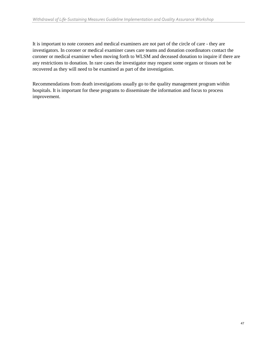It is important to note coroners and medical examiners are not part of the circle of care - they are investigators. In coroner or medical examiner cases care teams and donation coordinators contact the coroner or medical examiner when moving forth to WLSM and deceased donation to inquire if there are any restrictions to donation. In rare cases the investigator may request some organs or tissues not be recovered as they will need to be examined as part of the investigation.

Recommendations from death investigations usually go to the quality management program within hospitals. It is important for these programs to disseminate the information and focus to process improvement.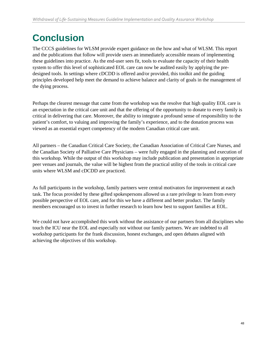# <span id="page-47-0"></span>**Conclusion**

The CCCS guidelines for WLSM provide expert guidance on the how and what of WLSM. This report and the publications that follow will provide users an immediately accessible means of implementing these guidelines into practice. As the end-user sees fit, tools to evaluate the capacity of their health system to offer this level of sophisticated EOL care can now be audited easily by applying the predesigned tools. In settings where cDCDD is offered and/or provided, this toolkit and the guiding principles developed help meet the demand to achieve balance and clarity of goals in the management of the dying process.

Perhaps the clearest message that came from the workshop was the resolve that high quality EOL care is an expectation in the critical care unit and that the offering of the opportunity to donate to every family is critical in delivering that care. Moreover, the ability to integrate a profound sense of responsibility to the patient's comfort, to valuing and improving the family's experience, and to the donation process was viewed as an essential expert competency of the modern Canadian critical care unit.

All partners – the Canadian Critical Care Society, the Canadian Association of Critical Care Nurses, and the Canadian Society of Palliative Care Physicians – were fully engaged in the planning and execution of this workshop. While the output of this workshop may include publication and presentation in appropriate peer venues and journals, the value will be highest from the practical utility of the tools in critical care units where WLSM and cDCDD are practiced.

As full participants in the workshop, family partners were central motivators for improvement at each task. The focus provided by these gifted spokespersons allowed us a rare privilege to learn from every possible perspective of EOL care, and for this we have a different and better product. The family members encouraged us to invest in further research to learn how best to support families at EOL.

We could not have accomplished this work without the assistance of our partners from all disciplines who touch the ICU near the EOL and especially not without our family partners. We are indebted to all workshop participants for the frank discussion, honest exchanges, and open debates aligned with achieving the objectives of this workshop.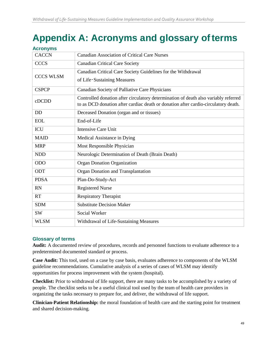# <span id="page-48-0"></span>**Appendix A: Acronyms and glossary ofterms**

| <b>Acronyms</b>  |                                                                                                                                                                           |
|------------------|---------------------------------------------------------------------------------------------------------------------------------------------------------------------------|
| <b>CACCN</b>     | <b>Canadian Association of Critical Care Nurses</b>                                                                                                                       |
| <b>CCCS</b>      | <b>Canadian Critical Care Society</b>                                                                                                                                     |
| <b>CCCS WLSM</b> | Canadian Critical Care Society Guidelines for the Withdrawal<br>of Life-Sustaining Measures                                                                               |
| <b>CSPCP</b>     | Canadian Society of Palliative Care Physicians                                                                                                                            |
| cDCDD            | Controlled donation after circulatory determination of death also variably referred<br>to as DCD donation after cardiac death or donation after cardio-circulatory death. |
| <b>DD</b>        | Deceased Donation (organ and or tissues)                                                                                                                                  |
| <b>EOL</b>       | End-of-Life                                                                                                                                                               |
| <b>ICU</b>       | <b>Intensive Care Unit</b>                                                                                                                                                |
| <b>MAID</b>      | Medical Assistance in Dying                                                                                                                                               |
| <b>MRP</b>       | Most Responsible Physician                                                                                                                                                |
| <b>NDD</b>       | Neurologic Determination of Death (Brain Death)                                                                                                                           |
| <b>ODO</b>       | <b>Organ Donation Organization</b>                                                                                                                                        |
| <b>ODT</b>       | Organ Donation and Transplantation                                                                                                                                        |
| <b>PDSA</b>      | Plan-Do-Study-Act                                                                                                                                                         |
| <b>RN</b>        | <b>Registered Nurse</b>                                                                                                                                                   |
| <b>RT</b>        | <b>Respiratory Therapist</b>                                                                                                                                              |
| <b>SDM</b>       | <b>Substitute Decision Maker</b>                                                                                                                                          |
| <b>SW</b>        | <b>Social Worker</b>                                                                                                                                                      |
| <b>WLSM</b>      | Withdrawal of Life-Sustaining Measures                                                                                                                                    |

#### **Glossary of terms**

**Audit:** A documented review of procedures, records and personnel functions to evaluate adherence to a predetermined documented standard or process.

**Case Audit:** This tool, used on a case by case basis, evaluates adherence to components of the WLSM guideline recommendations. Cumulative analysis of a series of cases of WLSM may identify opportunities for process improvement with the system (hospital).

**Checklist:** Prior to withdrawal of life support, there are many tasks to be accomplished by a variety of people. The checklist seeks to be a useful clinical tool used by the team of health care providers in organizing the tasks necessary to prepare for, and deliver, the withdrawal of life support.

**Clinician-Patient Relationship:** the moral foundation of health care and the starting point for treatment and shared decision-making.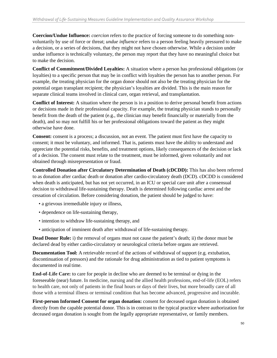**Coercion/Undue Influence:** *coercion* refers to the practice of forcing someone to do something nonvoluntarily by use of force or threat; *undue influence* refers to a person feeling heavily pressured to make a decision, or a series of decisions, that they might not have chosen otherwise. While a decision under undue influence is technically voluntary, the person may report that they have no meaningful choice but to make the decision.

**Conflict of Commitment/Divided Loyalties:** A situation where a person has professional obligations (or loyalties) to a specific person that may be in conflict with loyalties the person has to another person. For example, the treating physician for the organ donor should not also be the treating physician for the potential organ transplant recipient; the physician's loyalties are divided. This is the main reason for separate clinical teams involved in clinical care, organ retrieval, and transplantation.

**Conflict of Interest:** A situation where the person is in a position to derive personal benefit from actions or decisions made in their professional capacity. For example, the treating physician stands to personally benefit from the death of the patient (e.g., the clinician may benefit financially or materially from the death), and so may not fulfill his or her professional obligations toward the patient as they might otherwise have done.

**Consent:** consent is a process; a discussion, not an event. The patient must first have the capacity to consent; it must be voluntary, and informed. That is, patients must have the ability to understand and appreciate the potential risks, benefits, and treatment options, likely consequences of the decision or lack of a decision. The consent must relate to the treatment, must be informed, given voluntarily and not obtained through misrepresentation or fraud.

**Controlled Donation after Circulatory Determination of Death (cDCDD):** This has also been referred to as donation after cardiac death or donation after cardio-circulatory death (DCD). cDCDD is considered when death is anticipated, but has not yet occurred, in an ICU or special care unit after a consensual decision to withdrawal life-sustaining therapy. Death is determined following cardiac arrest and the cessation of circulation. Before considering donation, the patient should be judged to have:

- a grievous irremediable injury or illness,
- dependence on life-sustaining therapy,
- intention to withdraw life-sustaining therapy, and
- anticipation of imminent death after withdrawal of life-sustaining therapy.

**Dead Donor Rule:** i) the removal of organs must not cause the patient's death; ii) the donor must be declared dead by either cardio-circulatory or neurological criteria before organs are retrieved.

**Documentation Tool:** A retrievable record of the actions of withdrawal of support (e.g. extubation, discontinuation of pressors) and the rationale for drug administration as tied to patient symptoms is documented in real time.

**End-of-Life Care:** to care for people in decline who are deemed to be terminal or dying in the foreseeable (near) future. In medicine, nursing and the allied health professions, end-of-life (EOL) refers to health care, not only of patients in the final hours or days of their lives, but more broadly care of all those with a terminal illness or terminal condition that has become advanced, progressive and incurable.

**First-person Informed Consent for organ donation:** consent for deceased organ donation is obtained directly from the capable potential donor. This is in contrast to the typical practice where authorization for deceased organ donation is sought from the legally appropriate representative, or family members.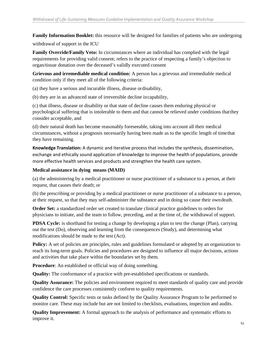**Family Information Booklet:** this resource will be designed for families of patients who are undergoing

withdrawal of support in the ICU

**Family Override/Family Veto:** In circumstances where an individual has complied with the legal requirements for providing valid consent; refers to the practice of respecting a family's objection to organ/tissue donation over the deceased's validly executed consent

**Grievous and irremediable medical condition:** A person has a grievous and irremediable medical condition only if they meet all of the following criteria:

(a) they have a serious and incurable illness, disease ordisability,

(b) they are in an advanced state of irreversible decline incapability,

(c) that illness, disease or disability or that state of decline causes them enduring physical or psychological suffering that is intolerable to them and that cannot be relieved under conditions thatthey consider acceptable, and

(d) their natural death has become reasonably foreseeable, taking into account all their medical circumstances, without a prognosis necessarily having been made as to the specific length of timethat they have remaining.

**Knowledge Translation:** A dynamic and iterative process that includes the synthesis, dissemination, exchange and ethically sound application of knowledge to improve the health of populations, provide more effective health services and products and strengthen the health care system.

#### **Medical assistance in dying means (MAID)**

(a) the administering by a medical practitioner or nurse practitioner of a substance to a person, at their request, that causes their death; or

(b) the prescribing or providing by a medical practitioner or nurse practitioner of a substance to a person, at their request, so that they may self-administer the substance and in doing so cause their owndeath.

**Order Set:** a standardized order set created to translate clinical practice guidelines to orders for physicians to initiate, and the team to follow, preceding, and at the time of, the withdrawal of support.

**PDSA Cycle:** is shorthand for testing a change by developing a plan to test the change (Plan), carrying out the test (Do), observing and learning from the consequences (Study), and determining what modifications should be made to the test (Act).

**Policy:** A set of policies are principles, rules and guidelines formulated or adopted by an organization to reach its long-term goals. Policies and procedures are designed to influence all major decisions, actions and activities that take place within the boundaries set by them.

**Procedure**: An established or official way of doing something.

**Quality:** The conformance of a practice with pre-established specifications or standards.

**Quality Assurance:** The policies and environment required to meet standards of quality care and provide confidence the care processes consistently conform to quality requirements.

**Quality Control:** Specific tests or tasks defined by the Quality Assurance Program to be performed to monitor care. These may include but are not limited to checklists, evaluations, inspection and audits.

**Quality Improvement:** A formal approach to the analysis of performance and systematic efforts to improve it.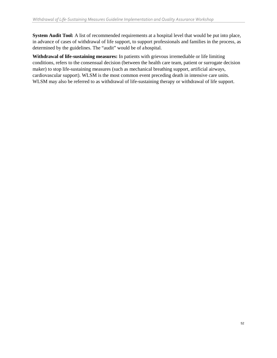**System Audit Tool:** A list of recommended requirements at a hospital level that would be put into place, in advance of cases of withdrawal of life support, to support professionals and families in the process, as determined by the guidelines. The "audit" would be of ahospital.

**Withdrawal of life-sustaining measures:** In patients with grievous irremediable or life limiting conditions, refers to the consensual decision (between the health care team, patient or surrogate decision maker) to stop life-sustaining measures (such as mechanical breathing support, artificial airways, cardiovascular support). WLSM is the most common event preceding death in intensive care units. WLSM may also be referred to as withdrawal of life-sustaining therapy or withdrawal of life support.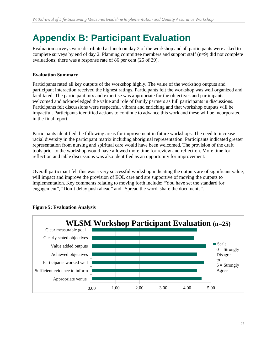# <span id="page-52-0"></span>**Appendix B: Participant Evaluation**

Evaluation surveys were distributed at lunch on day 2 of the workshop and all participants were asked to complete surveys by end of day 2. Planning committee members and support staff (n=9) did not complete evaluations; there was a response rate of 86 per cent (25 of 29).

#### **Evaluation Summary**

Participants rated all key outputs of the workshop highly. The value of the workshop outputs and participant interaction received the highest ratings. Participants felt the workshop was well organized and facilitated. The participant mix and expertise was appropriate for the objectives and participants welcomed and acknowledged the value and role of family partners as full participants in discussions. Participants felt discussions were respectful, vibrant and enriching and that workshop outputs will be impactful. Participants identified actions to continue to advance this work and these will be incorporated in the final report.

Participants identified the following areas for improvement in future workshops. The need to increase racial diversity in the participant matrix including aboriginal representation. Participants indicated greater representation from nursing and spiritual care would have been welcomed. The provision of the draft tools prior to the workshop would have allowed more time for review and reflection. More time for reflection and table discussions was also identified as an opportunity for improvement.

Overall participant felt this was a very successful workshop indicating the outputs are of significant value, will impact and improve the provision of EOL care and are supportive of moving the outputs to implementation. Key comments relating to moving forth include; "You have set the standard for engagement", "Don't delay push ahead" and "Spread the word, share the documents".



#### **Figure 5: Evaluation Analysis**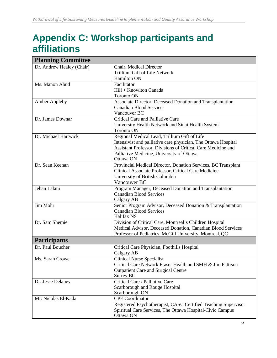# <span id="page-53-0"></span>**Appendix C: Workshop participants and affiliations**

| <b>Planning Committee</b> |                                                                |
|---------------------------|----------------------------------------------------------------|
| Dr. Andrew Healey (Chair) | Chair, Medical Director                                        |
|                           | Trillium Gift of Life Network                                  |
|                           | Hamilton ON                                                    |
| Ms. Manon Abud            | Facilitator                                                    |
|                           | Hill + Knowlton Canada                                         |
|                           | <b>Toronto ON</b>                                              |
| <b>Amber Appleby</b>      | Associate Director, Deceased Donation and Transplantation      |
|                           | <b>Canadian Blood Services</b>                                 |
|                           | Vancouver BC                                                   |
| Dr. James Downar          | Critical Care and Palliative Care                              |
|                           | University Health Network and Sinai Health System              |
|                           | <b>Toronto ON</b>                                              |
| Dr. Michael Hartwick      | Regional Medical Lead, Trillium Gift of Life                   |
|                           | Intensivist and palliative care physician, The Ottawa Hospital |
|                           | Assistant Professor, Divisions of Critical Care Medicine and   |
|                           | Palliative Medicine, University of Ottawa                      |
|                           | Ottawa ON                                                      |
| Dr. Sean Keenan           | Provincial Medical Director, Donation Services, BC Transplant  |
|                           | Clinical Associate Professor, Critical Care Medicine           |
|                           | University of British Columbia                                 |
|                           | Vancouver BC                                                   |
| Jehan Lalani              | Program Manager, Deceased Donation and Transplantation         |
|                           | <b>Canadian Blood Services</b>                                 |
|                           | Calgary AB                                                     |
| Jim Mohr                  | Senior Program Advisor, Deceased Donation & Transplantation    |
|                           | <b>Canadian Blood Services</b>                                 |
|                           | Halifax NS                                                     |
| Dr. Sam Shemie            | Division of Critical Care, Montreal's Children Hospital        |
|                           | Medical Advisor, Deceased Donation, Canadian Blood Services    |
|                           | Professor of Pediatrics, McGill University, Montreal, QC       |
| <b>Participants</b>       |                                                                |
| Dr. Paul Boucher          | Critical Care Physician, Foothills Hospital                    |
|                           | Calgary AB                                                     |
| Ms. Sarah Crowe           | <b>Clinical Nurse Specialist</b>                               |
|                           | Critical Care Network Fraser Health and SMH & Jim Pattison     |
|                           | <b>Outpatient Care and Surgical Centre</b>                     |
|                           | Surrey BC                                                      |
| Dr. Jesse Delaney         | Critical Care / Palliative Care                                |
|                           | Scarborough and Rouge Hospital                                 |
|                           | Scarborough ON                                                 |
| Mr. Nicolas El-Kada       | <b>CPE</b> Coordinator                                         |
|                           | Registered Psychotherapist, CASC Certified Teaching Supervisor |
|                           | Spiritual Care Services, The Ottawa Hospital-Civic Campus      |
|                           | Ottawa ON                                                      |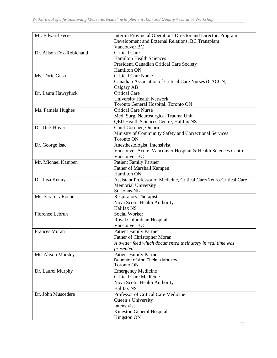| Mr. Edward Ferre         | Interim Provincial Operations Director and Director, Program       |  |
|--------------------------|--------------------------------------------------------------------|--|
|                          | Development and External Relations, BC Transplant                  |  |
|                          | Vancouver BC                                                       |  |
| Dr. Alison Fox-Robichaud | <b>Critical Care</b>                                               |  |
|                          | <b>Hamilton Health Sciences</b>                                    |  |
|                          | President, Canadian Critical Care Society                          |  |
|                          | Hamilton ON                                                        |  |
| Ms. Torie Gusa           | <b>Critical Care Nurse</b>                                         |  |
|                          | Canadian Association of Critical Care Nurses (CACCN)               |  |
|                          | Calgary AB                                                         |  |
| Dr. Laura Hawryluck      | <b>Critical Care</b>                                               |  |
|                          | University Health Network                                          |  |
|                          | Toronto General Hospital, Toronto ON                               |  |
| Ms. Pamela Hughes        | <b>Critical Care Nurse</b>                                         |  |
|                          | Med, Surg, Neurosurgical Trauma Unit                               |  |
|                          |                                                                    |  |
|                          | QEII Health Sciences Centre, Halifax NS                            |  |
| Dr. Dirk Huyer           | Chief Coroner, Ontario                                             |  |
|                          | Ministry of Community Safety and Correctional Services             |  |
|                          | <b>Toronto ON</b>                                                  |  |
| Dr. George Isac          | Anesthesiologist, Intensivist                                      |  |
|                          | Vancouver Acute, Vancouver Hospital & Health Sciences Centre       |  |
|                          | Vancouver BC                                                       |  |
| Mr. Michael Kampen       | <b>Patient Family Partner</b>                                      |  |
|                          | Father of Marshall Kampen                                          |  |
|                          | Hamilton ON                                                        |  |
| Dr. Lisa Kenny           | Assistant Professor of Medicine, Critical Care/Neuro-Critical Care |  |
|                          | <b>Memorial University</b>                                         |  |
|                          | St. Johns NL                                                       |  |
| Ms. Sarah LaRoche        | <b>Respiratory Therapist</b>                                       |  |
|                          | Nova Scotia Health Authority                                       |  |
|                          | Halifax NS                                                         |  |
| Florence Lebrun          | Social Worker                                                      |  |
|                          | Royal Columbian Hospital                                           |  |
|                          | Vancouver BC                                                       |  |
| <b>Frances Moran</b>     | <b>Patient Family Partner</b>                                      |  |
|                          | Father of Christopher Moran                                        |  |
|                          | A twitter feed which documented their story in real time was       |  |
|                          | presented.                                                         |  |
| Ms. Alison Morsley       | <b>Patient Family Partner</b>                                      |  |
|                          | Daughter of Ann Thelma Morsley                                     |  |
|                          | <b>Toronto ON</b>                                                  |  |
| Dr. Laurel Murphy        | <b>Emergency Medicine</b>                                          |  |
|                          | <b>Critical Care Medicine</b>                                      |  |
|                          | Nova Scotia Health Authority                                       |  |
|                          | Halifax NS                                                         |  |
| Dr. John Muscedere       | Professor of Critical Care Medicine                                |  |
|                          | Queen's University                                                 |  |
|                          | Intensivist                                                        |  |
|                          |                                                                    |  |
|                          | Kingston General Hospital                                          |  |
|                          | Kingston ON                                                        |  |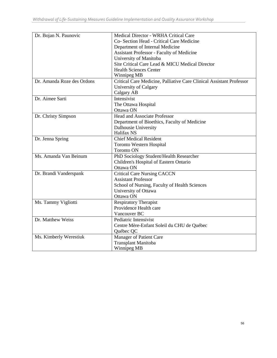| Dr. Bojan N. Paunovic      | Medical Director - WRHA Critical Care                                |
|----------------------------|----------------------------------------------------------------------|
|                            | Co- Section Head - Critical Care Medicine                            |
|                            | Department of Internal Medicine                                      |
|                            | Assistant Professor - Faculty of Medicine                            |
|                            | University of Manitoba                                               |
|                            | Site Critical Care Lead & MICU Medical Director                      |
|                            | <b>Health Sciences Center</b>                                        |
|                            | Winnipeg MB                                                          |
| Dr. Amanda Roze des Ordons | Critical Care Medicine, Palliative Care Clinical Assistant Professor |
|                            | University of Calgary                                                |
|                            | Calgary AB                                                           |
| Dr. Aimee Sarti            | Intensivist                                                          |
|                            | The Ottawa Hospital                                                  |
|                            | Ottawa ON                                                            |
| Dr. Christy Simpson        | <b>Head and Associate Professor</b>                                  |
|                            | Department of Bioethics, Faculty of Medicine                         |
|                            | Dalhousie University                                                 |
|                            | Halifax NS                                                           |
| Dr. Jenna Spring           | <b>Chief Medical Resident</b>                                        |
|                            | <b>Toronto Western Hospital</b>                                      |
|                            | <b>Toronto ON</b>                                                    |
| Ms. Amanda Van Beinum      | PhD Sociology Student/Health Researcher                              |
|                            | Children's Hospital of Eastern Ontario                               |
|                            | Ottawa ON                                                            |
| Dr. Brandi Vanderspank     | <b>Critical Care Nursing CACCN</b>                                   |
|                            | <b>Assistant Professor</b>                                           |
|                            | School of Nursing, Faculty of Health Sciences                        |
|                            | University of Ottawa                                                 |
|                            | Ottawa ON                                                            |
| Ms. Tammy Vigliotti        | <b>Respiratory Therapist</b>                                         |
|                            | Providence Health care                                               |
|                            | Vancouver BC                                                         |
| Dr. Matthew Weiss          | Pediatric Intensivist                                                |
|                            | Centre Mère-Enfant Soleil du CHU de Québec                           |
|                            | Québec QC                                                            |
| Ms. Kimberly Werestiuk     | Manager of Patient Care                                              |
|                            | <b>Transplant Manitoba</b>                                           |
|                            | Winnipeg MB                                                          |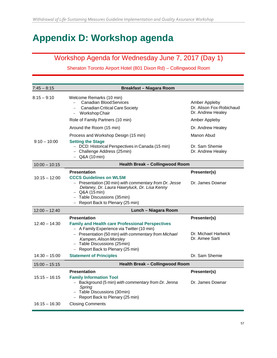# <span id="page-56-0"></span>**Appendix D: Workshop agenda**

# Workshop Agenda for Wednesday June 7, 2017 (Day 1)

### Sheraton Toronto Airport Hotel (801 Dixon Rd) – Collingwood Room

| $7:45 - 8:15$                      | <b>Breakfast - Niagara Room</b>                                                                                                                                                                                                               |                                                                                 |
|------------------------------------|-----------------------------------------------------------------------------------------------------------------------------------------------------------------------------------------------------------------------------------------------|---------------------------------------------------------------------------------|
| $8:15 - 9:10$                      | Welcome Remarks (10 min)<br><b>Canadian Blood Services</b><br><b>Canadian Critical Care Society</b><br>Workshop Chair<br>Role of Family Partners (10 min)                                                                                     | Amber Appleby<br>Dr. Alison Fox-Robichaud<br>Dr. Andrew Healey<br>Amber Appleby |
|                                    | Around the Room (15 min)                                                                                                                                                                                                                      | Dr. Andrew Healey                                                               |
| $9:10 - 10:00$                     | Process and Workshop Design (15 min)<br><b>Setting the Stage</b><br>- DCD: Historical Perspectives in Canada (15 min)<br>- Challenge Address (25min)                                                                                          | Manon Abud<br>Dr. Sam Shemie<br>Dr. Andrew Healey                               |
| $10:00 - 10:15$                    | $-$ Q&A (10 min)<br><b>Health Break - Collingwood Room</b>                                                                                                                                                                                    |                                                                                 |
|                                    | <b>Presentation</b>                                                                                                                                                                                                                           | Presenter(s)                                                                    |
| $10:15 - 12:00$                    | <b>CCCS Guidelines on WLSM</b><br>- Presentation (30 min) with commentary from Dr. Jesse<br>Delaney, Dr. Laura Hawryluck, Dr. Lisa Kenny<br>$-$ Q&A (15 min)<br>- Table Discussions (35min)<br>Report Back to Plenary (25 min)                | Dr. James Downar                                                                |
| $12:00 - 12:40$                    | Lunch - Niagara Room                                                                                                                                                                                                                          |                                                                                 |
| $12:40 - 14:30$                    | <b>Presentation</b><br><b>Family and Health care Professional Perspectives</b><br>- A Family Experience via Twitter (10 min)<br>- Presentation (50 min) with commentary from Michael<br>Kampen, Alison Morsley<br>- Table Discussions (25min) | Presenter(s)<br>Dr. Michael Hartwick<br>Dr. Aimee Sarti                         |
|                                    | - Report Back to Plenary (25 min)                                                                                                                                                                                                             |                                                                                 |
| $14:30 - 15:00$                    | <b>Statement of Principles</b>                                                                                                                                                                                                                | Dr. Sam Shemie                                                                  |
| $15:00 - 15:15$                    | <b>Health Break - Collingwood Room</b>                                                                                                                                                                                                        |                                                                                 |
| $15:15 - 16:15$<br>$16:15 - 16:30$ | <b>Presentation</b><br><b>Family Information Tool</b><br>- Background (5 min) with commentary from Dr. Jenna<br>Spring<br>- Table Discussions (30min)<br>Report Back to Plenary (25 min)<br><b>Closing Comments</b>                           | Presenter(s)<br>Dr. James Downar                                                |
|                                    |                                                                                                                                                                                                                                               |                                                                                 |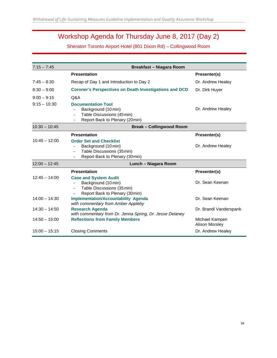# Workshop Agenda for Thursday June 8, 2017 (Day 2)

Sheraton Toronto Airport Hotel (801 Dixon Rd) – Collingwood Room

| $7:15 - 7:45$                   | Breakfast - Niagara Room                                                                                             |                                  |  |  |
|---------------------------------|----------------------------------------------------------------------------------------------------------------------|----------------------------------|--|--|
|                                 | <b>Presentation</b>                                                                                                  | Presenter(s)                     |  |  |
| $7:45 - 8:30$                   | Recap of Day 1 and Introduction to Day 2                                                                             | Dr. Andrew Healey                |  |  |
| $8:30 - 9:00$                   | <b>Coroner's Perspectives on Death Investigations and DCD</b>                                                        | Dr. Dirk Huyer                   |  |  |
| $9:00 - 9:15$<br>$9:15 - 10:30$ | Q&A<br><b>Documentation Tool</b><br>Background (10 min)<br>Table Discussions (45min)                                 | Dr. Andrew Healey                |  |  |
|                                 | Report Back to Plenary (20min)                                                                                       |                                  |  |  |
| $10:30 - 10:45$                 | <b>Break-Collingwood Room</b>                                                                                        |                                  |  |  |
|                                 | <b>Presentation</b>                                                                                                  | Presenter(s)                     |  |  |
| $10:45 - 12:00$                 | <b>Order Set and Checklist</b><br>Background (10 min)<br>Table Discussions (35min)<br>Report Back to Plenary (30min) | Dr. Andrew Healey                |  |  |
| $12:00 - 12:45$                 | Lunch - Niagara Room                                                                                                 |                                  |  |  |
|                                 | <b>Presentation</b>                                                                                                  | Presenter(s)                     |  |  |
| $12:45 - 14:00$                 | <b>Case and System Audit</b><br>Background (10 min)<br>Table Discussions (35min)<br>Report Back to Plenary (30min)   | Dr. Sean Keenan                  |  |  |
| $14:00 - 14:30$                 | <b>Implementation/Accountability Agenda</b><br>with commentary from Amber Appleby                                    | Dr. Sean Keenan                  |  |  |
| $14:30 - 14:50$                 | <b>Research Agenda</b><br>with commentary from Dr. Jenna Spring, Dr. Jesse Delaney                                   | Dr. Brandi Vanderspank           |  |  |
| $14:50 - 15:00$                 | <b>Reflections from Family Members</b>                                                                               | Michael Kampen<br>Alison Morsley |  |  |
| $15:00 - 15:15$                 | <b>Closing Comments</b>                                                                                              | Dr. Andrew Healey                |  |  |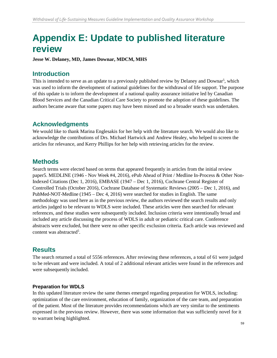# <span id="page-58-0"></span>**Appendix E: Update to published literature review**

**Jesse W. Delaney, MD, James Downar, MDCM, MHS**

### **Introduction**

This is intended to serve as an update to a previously published review by Delaney and Downar<sup>5</sup>, which was used to inform the development of national guidelines for the withdrawal of life support. The purpose of this update is to inform the development of a national quality assurance initiative led by Canadian Blood Services and the Canadian Critical Care Society to promote the adoption of these guidelines. The authors became aware that some papers may have been missed and so a broader search was undertaken.

### **Acknowledgments**

We would like to thank Marina Englesakis for her help with the literature search. We would also like to acknowledge the contributions of Drs. Michael Hartwick and Andrew Healey, who helped to screen the articles for relevance, and Kerry Phillips for her help with retrieving articles for the review.

### **Methods**

Search terms were elected based on terms that appeared frequently in articles from the initial review paper5. MEDLINE (1946 - Nov Week #4, 2016), ePub Ahead of Print / Medline In-Process & Other Non-Indexed Citations (Dec 1, 2016), EMBASE (1947 – Dec 1, 2016), Cochrane Central Register of Controlled Trials (October 2016), Cochrane Database of Systematic Reviews (2005 – Dec 1, 2016), and PubMed-NOT-Medline (1945 – Dec 4, 2016) were searched for studies in English. The same methodology was used here as in the previous review, the authors reviewed the search results and only articles judged to be relevant to WDLS were included. These articles were then searched for relevant references, and these studies were subsequently included. Inclusion criteria were intentionally broad and included any article discussing the process of WDLS in adult or pediatric critical care. Conference abstracts were excluded, but there were no other specific exclusion criteria. Each article was reviewed and content was abstracted<sup>5</sup>.

# **Results**

The search returned a total of 5556 references. After reviewing these references, a total of 61 were judged to be relevant and were included. A total of 2 additional relevant articles were found in the references and were subsequently included.

#### **Preparation for WDLS**

In this updated literature review the same themes emerged regarding preparation for WDLS, including: optimization of the care environment, education of family, organization of the care team, and preparation of the patient. Most of the literature provides recommendations which are very similar to the sentiments expressed in the previous review. However, there was some information that was sufficiently novel for it to warrant being highlighted.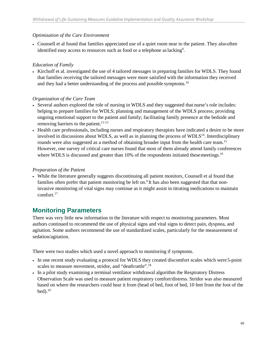#### *Optimization of the Care Environment*

• Counsell et al found that families appreciated use of a quiet room near to the patient. They alsooften identified easy access to resources such as food or a telephone as lacking<sup>9</sup>.

#### *Education of Family*

• Kirchoff et al. investigated the use of 4 tailored messages in preparing families for WDLS. They found that families receiving the tailored messages were more satisfied with the information they received and they had a better understanding of the process and possible symptoms.<sup>10</sup>

#### *Organization of the Care Team*

- Several authors explored the role of nursing in WDLS and they suggested that nurse's role includes: helping to prepare families for WDLS; planning and management of the WDLS process; providing ongoing emotional support to the patient and family; facilitating family presence at the bedside and removing barriers to the patient.<sup>11-13</sup>
- Health care professionals, including nurses and respiratory therapists have indicated a desire to be more involved in discussions about WDLS, as well as in planning the process of WDLS<sup>14</sup>. Interdisciplinary rounds were also suggested as a method of obtaining broader input from the health care team.<sup>15</sup> However, one survey of critical care nurses found that most of them already attend family conferences where WDLS is discussed and greater than 10% of the respondents initiated these meetings.<sup>16</sup>

#### *Preparation of the Patient*

• While the literature generally suggests discontinuing all patient monitors, Counsell et al found that families often prefer that patient monitoring be left on.<sup>9</sup> It has also been suggested that that noninvasive monitoring of vital signs may continue as it might assist in titrating medications to maintain comfort.17

### **Monitoring Parameters**

There was very little new information in the literature with respect to monitoring parameters. Most authors continued to recommend the use of physical signs and vital signs to detect pain, dyspnea, and agitation. Some authors recommend the use of standardized scales, particularly for the measurement of sedation/agitation.

There were two studies which used a novel approach to monitoring if symptoms.

- In one recent study evaluating a protocol for WDLS they created discomfort scales which were5-point scales to measure movement, stridor, and "deathrattle".18
- In a pilot study examining a terminal ventilator withdrawal algorithm the Respiratory Distress Observation Scale was used to measure patient respiratory comfort/distress. Stridor was also measured based on where the researchers could hear it from (head of bed, foot of bed, 10 feet from the foot of the  $bed).<sup>19</sup>$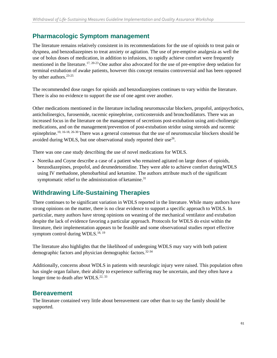### **Pharmacologic Symptom management**

The literature remains relatively consistent in its recommendations for the use of opioids to treat pain or dyspnea, and benzodiazepines to treat anxiety or agitation. The use of pre-emptive analgesia as well the use of bolus doses of medication, in addition to infusions, to rapidly achieve comfort were frequently mentioned in the literature.17, 20-23 One author also advocated for the use of pre-emptive deep sedation for terminal extubation of awake patients, however this concept remains controversial and has been opposed by other authors.23-25

The recommended dose ranges for opioids and benzodiazepines continues to vary within the literature. There is also no evidence to support the use of one agent over another.

Other medications mentioned in the literature including neuromuscular blockers, propofol, antipsychotics, anticholinergics, furosemide, racemic epinephrine, corticosteroids and bronchodilators. There was an increased focus in the literature on the management of secretions post-extubation using anti-cholinergic medications, and on the management/prevention of post-extubation stridor using steroids and racemic epinephrine.10, 16-18, 26-30 There was a general consensus that the use of neuromuscular blockers should be avoided during WDLS, but one observational study reported their use<sup>26</sup>.

There was one case study describing the use of novel medications for WDLS.

• Noreika and Coyne describe a case of a patient who remained agitated on large doses of opioids, benzodiazepines, propofol, and dexmedetomidine. They were able to achieve comfort duringWDLS using IV methadone, phenobarbital and ketamine. The authors attribute much of the significant symptomatic relief to the administration of ketamine.<sup>31</sup>

### **Withdrawing Life-Sustaining Therapies**

There continues to be significant variation in WDLS reported in the literature. While many authors have strong opinions on the matter, there is no clear evidence to support a specific approach to WDLS. In particular, many authors have strong opinions on weaning of the mechanical ventilator and extubation despite the lack of evidence favoring a particular approach. Protocols for WDLS do exist within the literature, their implementation appears to be feasible and some observational studies report effective symptom control during WDLS.<sup>18, 19</sup>

The literature also highlights that the likelihood of undergoing WDLS may vary with both patient demographic factors and physician demographic factors.32-34

Additionally, concerns about WDLS in patients with neurologic injury were raised. This population often has single organ failure, their ability to experience suffering may be uncertain, and they often have a longer time to death after WDLS.<sup>22, 33</sup>

### **Bereavement**

The literature contained very little about bereavement care other than to say the family should be supported.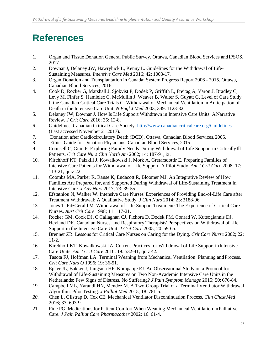# <span id="page-61-0"></span>**References**

- 1. Organ and Tissue Donation General Public Survey. Ottawa, Canadian Blood Services andIPSOS, 2017.
- 2. Downar J, Delaney JW, Hawryluck L, Kenny L. Guidelines for the Withdrawal of Life-Sustaining Measures. *Intensive Care Med* 2016; 42: 1003-17.
- 3. Organ Donation and Transplantation in Canada: System Progress Report 2006 2015. Ottawa, Canadian Blood Services, 2016.
- 4. Cook D, Rocker G, Marshall J, Sjokvist P, Dodek P, Griffith L, Freitag A, Varon J, Bradley C, Levy M, Finfer S, Hamielec C, McMullin J, Weaver B, Walter S, Guyatt G, Level of Care Study I, the Canadian Critical Care Trials G. Withdrawal of Mechanical Ventilation in Anticipation of Death in the Intensive Care Unit. *N Engl J Med* 2003; 349: 1123-32.
- 5. Delaney JW, Downar J. How Is Life Support Withdrawn in Intensive Care Units: ANarrative Review. *J Crit Care* 2016; 35: 12-8.
- 6. Guidelines, Canadian Critical Care Society. <http://www.canadiancriticalcare.org/Guidelines> (Last accessed November 21 2017).
- 7. Donation after Cardiocirculatory Death (DCD). Ottawa, Canadian Blood Services, 2005.
- 8. Ethics Guide for Donation Physicians. Canadian Blood Services, 2015.
- 9. Counsell C, Guin P. Exploring Family Needs During Withdrawal of Life Support in CriticallyIll Patients. *Crit Care Nurs Clin North Am* 2002; 14: 187-91, ix.
- 10. Kirchhoff KT, Palzkill J, Kowalkowski J, Mork A, Gretarsdottir E. Preparing Families of Intensive Care Patients for Withdrawal of Life Support: A Pilot Study. *Am J Crit Care* 2008; 17: 113-21; quiz 22.
- 11. Coombs MA, Parker R, Ranse K, Endacott R, Bloomer MJ. An Integrative Review of How Families Are Prepared for, and Supported During Withdrawal of Life-Sustaining Treatment in Intensive Care. *J Adv Nurs* 2017; 73: 39-55.
- 12. Efstathiou N, Walker W. Intensive Care Nurses' Experiences of Providing End-of-Life Care after Treatment Withdrawal: A Qualitative Study. *J Clin Nurs* 2014; 23: 3188-96.
- 13. Jones T, FitzGerald M. Withdrawal of Life-Support Treatment: The Experience of Critical Care Nurses. *Aust Crit Care* 1998; 11: 117-21.
- 14. Rocker GM, Cook DJ, O'Callaghan CJ, Pichora D, Dodek PM, Conrad W, Kutsogiannis DJ, Heyland DK. Canadian Nurses' and Respiratory Therapists' Perspectives on Withdrawal ofLife Support in the Intensive Care Unit. *J Crit Care* 2005; 20: 59-65.
- 15. Brenner ZR. Lessons for Critical Care Nurses on Caring for the Dying. *Crit Care Nurse* 2002; 22: 11-2.
- 16. Kirchhoff KT, Kowalkowski JA. Current Practices for Withdrawal of Life Support inIntensive Care Units. *Am J Crit Care* 2010; 19: 532-41; quiz 42.
- 17. Tasota FJ, Hoffman LA. Terminal Weaning from Mechanical Ventilation: Planning and Process. *Crit Care Nurs Q* 1996; 19: 36-51.
- 18. Epker JL, Bakker J, Lingsma HF, Kompanje EJ. An Observational Study on a Protocol for Withdrawal of Life-Sustaining Measures on Two Non-Academic Intensive Care Units in the Netherlands: Few Signs of Distress, No Suffering? *J Pain Symptom Manage* 2015; 50: 676-84.
- 19. Campbell ML, Yarandi HN, Mendez M. A Two-Group Trial of a Terminal Ventilator Withdrawal Algorithm: Pilot Testing. *J Palliat Med* 2015; 18: 781-5.
- *20.* Chen L, Gilstrap D, Cox CE. Mechanical Ventilator Discontinuation Process. *Clin ChestMed* 2016; 37: 693-9.
- 21. Fine PG. Medications for Patient Comfort When Weaning Mechanical Ventilation inPalliative Care. *J Pain Palliat Care Pharmacother* 2002; 16: 61-4.